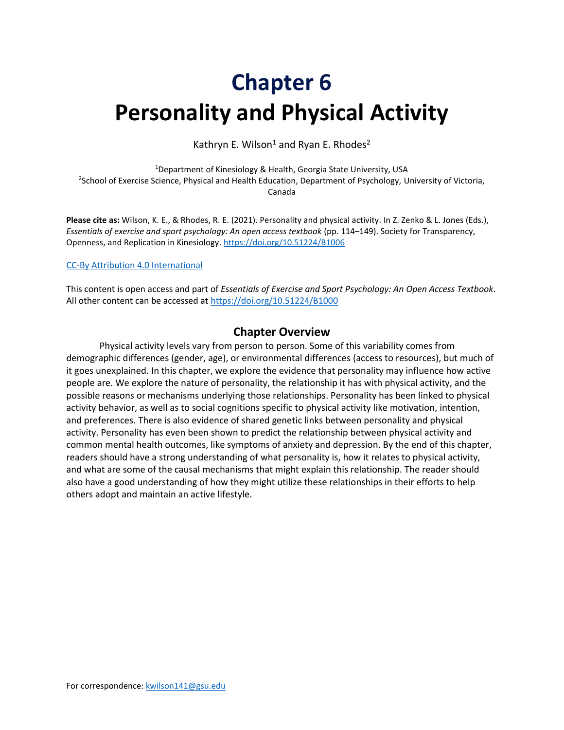# **Chapter 6 Personality and Physical Activity**

Kathryn E. Wilson<sup>1</sup> and Ryan E. Rhodes<sup>2</sup>

<sup>1</sup>Department of Kinesiology & Health, Georgia State University, USA <sup>2</sup>School of Exercise Science, Physical and Health Education, Department of Psychology, University of Victoria, Canada

**Please cite as:** Wilson, K. E., & Rhodes, R. E. (2021). Personality and physical activity. In Z. Zenko & L. Jones (Eds.), *Essentials of exercise and sport psychology: An open access textbook* (pp. 114–149). Society for Transparency, Openness, and Replication in Kinesiology.<https://doi.org/10.51224/B1006>

#### [CC-By Attribution 4.0 International](https://creativecommons.org/licenses/by/4.0/)

This content is open access and part of *Essentials of Exercise and Sport Psychology: An Open Access Textbook*. All other content can be accessed a[t https://doi.org/10.51224/B1000](https://doi.org/10.51224/B1000)

#### **Chapter Overview**

Physical activity levels vary from person to person. Some of this variability comes from demographic differences (gender, age), or environmental differences (access to resources), but much of it goes unexplained. In this chapter, we explore the evidence that personality may influence how active people are. We explore the nature of personality, the relationship it has with physical activity, and the possible reasons or mechanisms underlying those relationships. Personality has been linked to physical activity behavior, as well as to social cognitions specific to physical activity like motivation, intention, and preferences. There is also evidence of shared genetic links between personality and physical activity. Personality has even been shown to predict the relationship between physical activity and common mental health outcomes, like symptoms of anxiety and depression. By the end of this chapter, readers should have a strong understanding of what personality is, how it relates to physical activity, and what are some of the causal mechanisms that might explain this relationship. The reader should also have a good understanding of how they might utilize these relationships in their efforts to help others adopt and maintain an active lifestyle.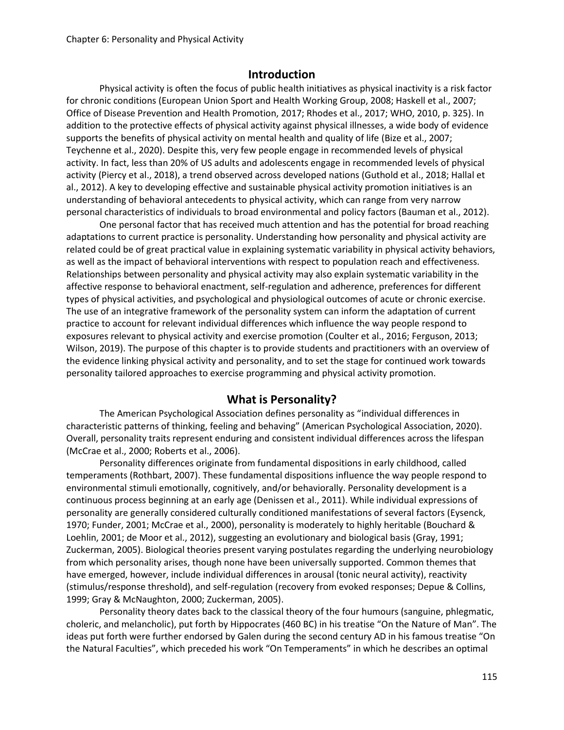# **Introduction**

Physical activity is often the focus of public health initiatives as physical inactivity is a risk factor for chronic conditions (European Union Sport and Health Working Group, 2008; Haskell et al., 2007; Office of Disease Prevention and Health Promotion, 2017; Rhodes et al., 2017; WHO, 2010, p. 325). In addition to the protective effects of physical activity against physical illnesses, a wide body of evidence supports the benefits of physical activity on mental health and quality of life (Bize et al., 2007; Teychenne et al., 2020). Despite this, very few people engage in recommended levels of physical activity. In fact, less than 20% of US adults and adolescents engage in recommended levels of physical activity (Piercy et al., 2018), a trend observed across developed nations (Guthold et al., 2018; Hallal et al., 2012). A key to developing effective and sustainable physical activity promotion initiatives is an understanding of behavioral antecedents to physical activity, which can range from very narrow personal characteristics of individuals to broad environmental and policy factors (Bauman et al., 2012).

One personal factor that has received much attention and has the potential for broad reaching adaptations to current practice is personality. Understanding how personality and physical activity are related could be of great practical value in explaining systematic variability in physical activity behaviors, as well as the impact of behavioral interventions with respect to population reach and effectiveness. Relationships between personality and physical activity may also explain systematic variability in the affective response to behavioral enactment, self-regulation and adherence, preferences for different types of physical activities, and psychological and physiological outcomes of acute or chronic exercise. The use of an integrative framework of the personality system can inform the adaptation of current practice to account for relevant individual differences which influence the way people respond to exposures relevant to physical activity and exercise promotion (Coulter et al., 2016; Ferguson, 2013; Wilson, 2019). The purpose of this chapter is to provide students and practitioners with an overview of the evidence linking physical activity and personality, and to set the stage for continued work towards personality tailored approaches to exercise programming and physical activity promotion.

# **What is Personality?**

The American Psychological Association defines personality as "individual differences in characteristic patterns of thinking, feeling and behaving" (American Psychological Association, 2020). Overall, personality traits represent enduring and consistent individual differences across the lifespan (McCrae et al., 2000; Roberts et al., 2006).

Personality differences originate from fundamental dispositions in early childhood, called temperaments (Rothbart, 2007). These fundamental dispositions influence the way people respond to environmental stimuli emotionally, cognitively, and/or behaviorally. Personality development is a continuous process beginning at an early age (Denissen et al., 2011). While individual expressions of personality are generally considered culturally conditioned manifestations of several factors (Eysenck, 1970; Funder, 2001; McCrae et al., 2000), personality is moderately to highly heritable (Bouchard & Loehlin, 2001; de Moor et al., 2012), suggesting an evolutionary and biological basis (Gray, 1991; Zuckerman, 2005). Biological theories present varying postulates regarding the underlying neurobiology from which personality arises, though none have been universally supported. Common themes that have emerged, however, include individual differences in arousal (tonic neural activity), reactivity (stimulus/response threshold), and self-regulation (recovery from evoked responses; Depue & Collins, 1999; Gray & McNaughton, 2000; Zuckerman, 2005).

Personality theory dates back to the classical theory of the four humours (sanguine, phlegmatic, choleric, and melancholic), put forth by Hippocrates (460 BC) in his treatise "On the Nature of Man". The ideas put forth were further endorsed by Galen during the second century AD in his famous treatise "On the Natural Faculties", which preceded his work "On Temperaments" in which he describes an optimal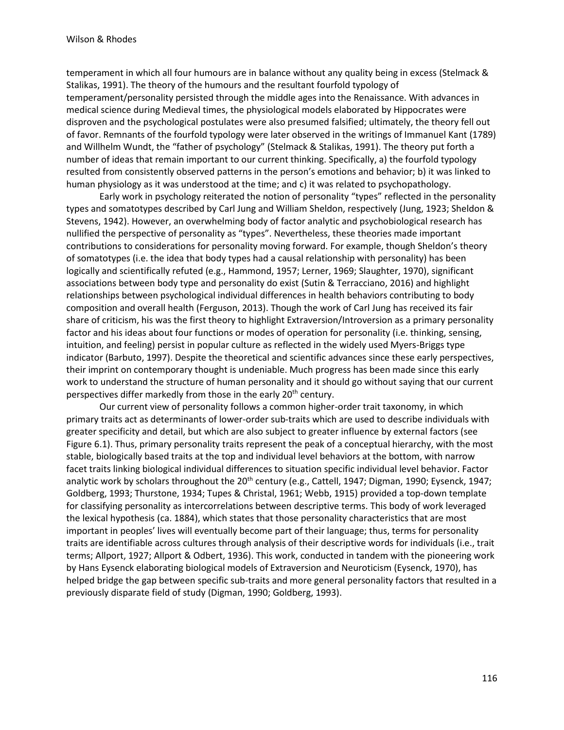temperament in which all four humours are in balance without any quality being in excess (Stelmack & Stalikas, 1991). The theory of the humours and the resultant fourfold typology of temperament/personality persisted through the middle ages into the Renaissance. With advances in medical science during Medieval times, the physiological models elaborated by Hippocrates were disproven and the psychological postulates were also presumed falsified; ultimately, the theory fell out of favor. Remnants of the fourfold typology were later observed in the writings of Immanuel Kant (1789) and Willhelm Wundt, the "father of psychology" (Stelmack & Stalikas, 1991). The theory put forth a number of ideas that remain important to our current thinking. Specifically, a) the fourfold typology resulted from consistently observed patterns in the person's emotions and behavior; b) it was linked to human physiology as it was understood at the time; and c) it was related to psychopathology.

Early work in psychology reiterated the notion of personality "types" reflected in the personality types and somatotypes described by Carl Jung and William Sheldon, respectively (Jung, 1923; Sheldon & Stevens, 1942). However, an overwhelming body of factor analytic and psychobiological research has nullified the perspective of personality as "types". Nevertheless, these theories made important contributions to considerations for personality moving forward. For example, though Sheldon's theory of somatotypes (i.e. the idea that body types had a causal relationship with personality) has been logically and scientifically refuted (e.g., Hammond, 1957; Lerner, 1969; Slaughter, 1970), significant associations between body type and personality do exist (Sutin & Terracciano, 2016) and highlight relationships between psychological individual differences in health behaviors contributing to body composition and overall health (Ferguson, 2013). Though the work of Carl Jung has received its fair share of criticism, his was the first theory to highlight Extraversion/Introversion as a primary personality factor and his ideas about four functions or modes of operation for personality (i.e. thinking, sensing, intuition, and feeling) persist in popular culture as reflected in the widely used Myers-Briggs type indicator (Barbuto, 1997). Despite the theoretical and scientific advances since these early perspectives, their imprint on contemporary thought is undeniable. Much progress has been made since this early work to understand the structure of human personality and it should go without saying that our current perspectives differ markedly from those in the early 20<sup>th</sup> century.

Our current view of personality follows a common higher-order trait taxonomy, in which primary traits act as determinants of lower-order sub-traits which are used to describe individuals with greater specificity and detail, but which are also subject to greater influence by external factors (see Figure 6.1). Thus, primary personality traits represent the peak of a conceptual hierarchy, with the most stable, biologically based traits at the top and individual level behaviors at the bottom, with narrow facet traits linking biological individual differences to situation specific individual level behavior. Factor analytic work by scholars throughout the 20<sup>th</sup> century (e.g., Cattell, 1947; Digman, 1990; Eysenck, 1947; Goldberg, 1993; Thurstone, 1934; Tupes & Christal, 1961; Webb, 1915) provided a top-down template for classifying personality as intercorrelations between descriptive terms. This body of work leveraged the lexical hypothesis (ca. 1884), which states that those personality characteristics that are most important in peoples' lives will eventually become part of their language; thus, terms for personality traits are identifiable across cultures through analysis of their descriptive words for individuals (i.e., trait terms; Allport, 1927; Allport & Odbert, 1936). This work, conducted in tandem with the pioneering work by Hans Eysenck elaborating biological models of Extraversion and Neuroticism (Eysenck, 1970), has helped bridge the gap between specific sub-traits and more general personality factors that resulted in a previously disparate field of study (Digman, 1990; Goldberg, 1993).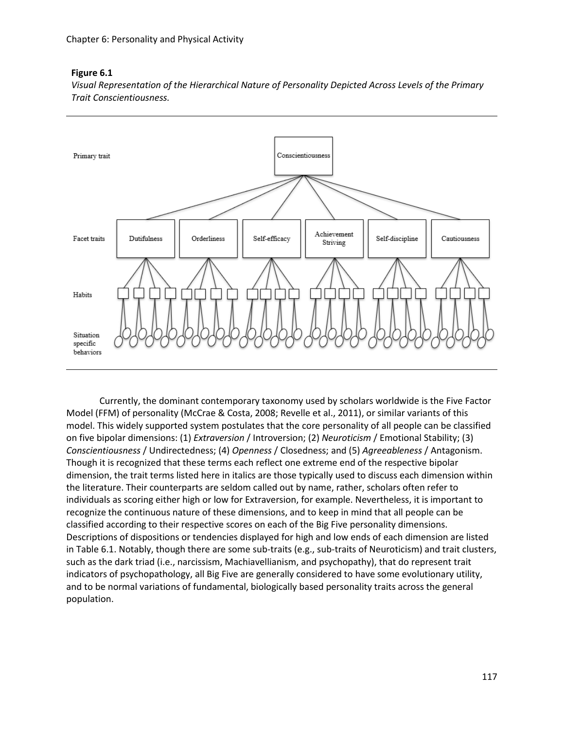#### **Figure 6.1**

*Visual Representation of the Hierarchical Nature of Personality Depicted Across Levels of the Primary Trait Conscientiousness.*



Currently, the dominant contemporary taxonomy used by scholars worldwide is the Five Factor Model (FFM) of personality (McCrae & Costa, 2008; Revelle et al., 2011), or similar variants of this model. This widely supported system postulates that the core personality of all people can be classified on five bipolar dimensions: (1) *Extraversion* / Introversion; (2) *Neuroticism* / Emotional Stability; (3) *Conscientiousness* / Undirectedness; (4) *Openness* / Closedness; and (5) *Agreeableness* / Antagonism. Though it is recognized that these terms each reflect one extreme end of the respective bipolar dimension, the trait terms listed here in italics are those typically used to discuss each dimension within the literature. Their counterparts are seldom called out by name, rather, scholars often refer to individuals as scoring either high or low for Extraversion, for example. Nevertheless, it is important to recognize the continuous nature of these dimensions, and to keep in mind that all people can be classified according to their respective scores on each of the Big Five personality dimensions. Descriptions of dispositions or tendencies displayed for high and low ends of each dimension are listed in Table 6.1. Notably, though there are some sub-traits (e.g., sub-traits of Neuroticism) and trait clusters, such as the dark triad (i.e., narcissism, Machiavellianism, and psychopathy), that do represent trait indicators of psychopathology, all Big Five are generally considered to have some evolutionary utility, and to be normal variations of fundamental, biologically based personality traits across the general population.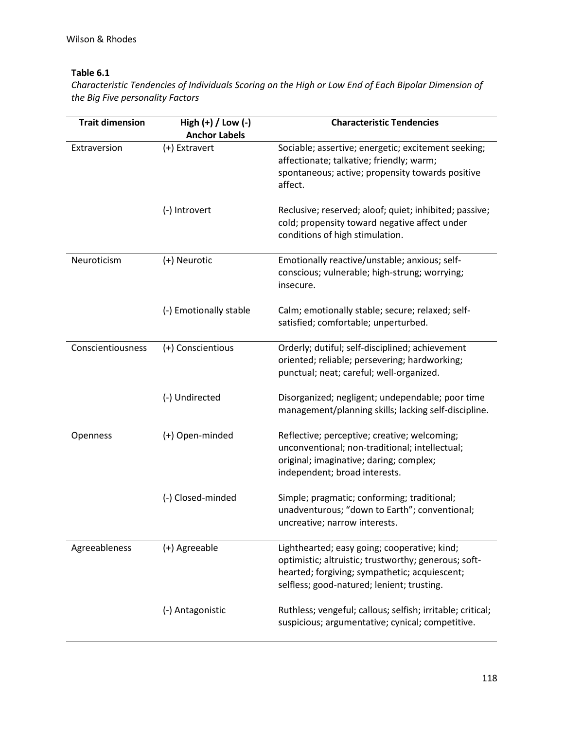# **Table 6.1**

*Characteristic Tendencies of Individuals Scoring on the High or Low End of Each Bipolar Dimension of the Big Five personality Factors*

| <b>Trait dimension</b> | High $(+)$ / Low $(-)$<br><b>Anchor Labels</b> | <b>Characteristic Tendencies</b>                                                                                                                                                                    |
|------------------------|------------------------------------------------|-----------------------------------------------------------------------------------------------------------------------------------------------------------------------------------------------------|
| Extraversion           | (+) Extravert                                  | Sociable; assertive; energetic; excitement seeking;<br>affectionate; talkative; friendly; warm;<br>spontaneous; active; propensity towards positive<br>affect.                                      |
|                        | (-) Introvert                                  | Reclusive; reserved; aloof; quiet; inhibited; passive;<br>cold; propensity toward negative affect under<br>conditions of high stimulation.                                                          |
| Neuroticism            | (+) Neurotic                                   | Emotionally reactive/unstable; anxious; self-<br>conscious; vulnerable; high-strung; worrying;<br>insecure.                                                                                         |
|                        | (-) Emotionally stable                         | Calm; emotionally stable; secure; relaxed; self-<br>satisfied; comfortable; unperturbed.                                                                                                            |
| Conscientiousness      | (+) Conscientious                              | Orderly; dutiful; self-disciplined; achievement<br>oriented; reliable; persevering; hardworking;<br>punctual; neat; careful; well-organized.                                                        |
|                        | (-) Undirected                                 | Disorganized; negligent; undependable; poor time<br>management/planning skills; lacking self-discipline.                                                                                            |
| Openness               | (+) Open-minded                                | Reflective; perceptive; creative; welcoming;<br>unconventional; non-traditional; intellectual;<br>original; imaginative; daring; complex;<br>independent; broad interests.                          |
|                        | (-) Closed-minded                              | Simple; pragmatic; conforming; traditional;<br>unadventurous; "down to Earth"; conventional;<br>uncreative; narrow interests.                                                                       |
| Agreeableness          | (+) Agreeable                                  | Lighthearted; easy going; cooperative; kind;<br>optimistic; altruistic; trustworthy; generous; soft-<br>hearted; forgiving; sympathetic; acquiescent;<br>selfless; good-natured; lenient; trusting. |
|                        | (-) Antagonistic                               | Ruthless; vengeful; callous; selfish; irritable; critical;<br>suspicious; argumentative; cynical; competitive.                                                                                      |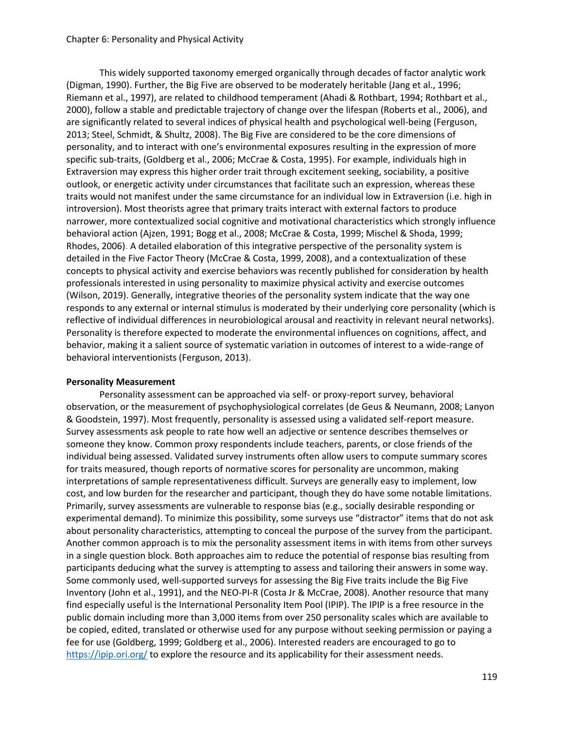#### Chapter 6: Personality and Physical Activity

This widely supported taxonomy emerged organically through decades of factor analytic work (Digman, 1990). Further, the Big Five are observed to be moderately heritable (Jang et al., 1996; Riemann et al., 1997), are related to childhood temperament (Ahadi & Rothbart, 1994; Rothbart et al., 2000), follow a stable and predictable trajectory of change over the lifespan (Roberts et al., 2006), and are significantly related to several indices of physical health and psychological well-being (Ferguson, 2013; Steel, Schmidt, & Shultz, 2008). The Big Five are considered to be the core dimensions of personality, and to interact with one's environmental exposures resulting in the expression of more specific sub-traits, (Goldberg et al., 2006; McCrae & Costa, 1995). For example, individuals high in Extraversion may express this higher order trait through excitement seeking, sociability, a positive outlook, or energetic activity under circumstances that facilitate such an expression, whereas these traits would not manifest under the same circumstance for an individual low in Extraversion (i.e. high in introversion). Most theorists agree that primary traits interact with external factors to produce narrower, more contextualized social cognitive and motivational characteristics which strongly influence behavioral action (Ajzen, 1991; Bogg et al., 2008; McCrae & Costa, 1999; Mischel & Shoda, 1999; Rhodes, 2006). A detailed elaboration of this integrative perspective of the personality system is detailed in the Five Factor Theory (McCrae & Costa, 1999, 2008), and a contextualization of these concepts to physical activity and exercise behaviors was recently published for consideration by health professionals interested in using personality to maximize physical activity and exercise outcomes (Wilson, 2019). Generally, integrative theories of the personality system indicate that the way one responds to any external or internal stimulus is moderated by their underlying core personality (which is reflective of individual differences in neurobiological arousal and reactivity in relevant neural networks). Personality is therefore expected to moderate the environmental influences on cognitions, affect, and behavior, making it a salient source of systematic variation in outcomes of interest to a wide-range of behavioral interventionists (Ferguson, 2013).

#### **Personality Measurement**

Personality assessment can be approached via self- or proxy-report survey, behavioral observation, or the measurement of psychophysiological correlates (de Geus & Neumann, 2008; Lanyon & Goodstein, 1997). Most frequently, personality is assessed using a validated self-report measure. Survey assessments ask people to rate how well an adjective or sentence describes themselves or someone they know. Common proxy respondents include teachers, parents, or close friends of the individual being assessed. Validated survey instruments often allow users to compute summary scores for traits measured, though reports of normative scores for personality are uncommon, making interpretations of sample representativeness difficult. Surveys are generally easy to implement, low cost, and low burden for the researcher and participant, though they do have some notable limitations. Primarily, survey assessments are vulnerable to response bias (e.g., socially desirable responding or experimental demand). To minimize this possibility, some surveys use "distractor" items that do not ask about personality characteristics, attempting to conceal the purpose of the survey from the participant. Another common approach is to mix the personality assessment items in with items from other surveys in a single question block. Both approaches aim to reduce the potential of response bias resulting from participants deducing what the survey is attempting to assess and tailoring their answers in some way. Some commonly used, well-supported surveys for assessing the Big Five traits include the Big Five Inventory (John et al., 1991), and the NEO-PI-R (Costa Jr & McCrae, 2008). Another resource that many find especially useful is the International Personality Item Pool (IPIP). The IPIP is a free resource in the public domain including more than 3,000 items from over 250 personality scales which are available to be copied, edited, translated or otherwise used for any purpose without seeking permission or paying a fee for use (Goldberg, 1999; Goldberg et al., 2006). Interested readers are encouraged to go to <https://ipip.ori.org/> to explore the resource and its applicability for their assessment needs.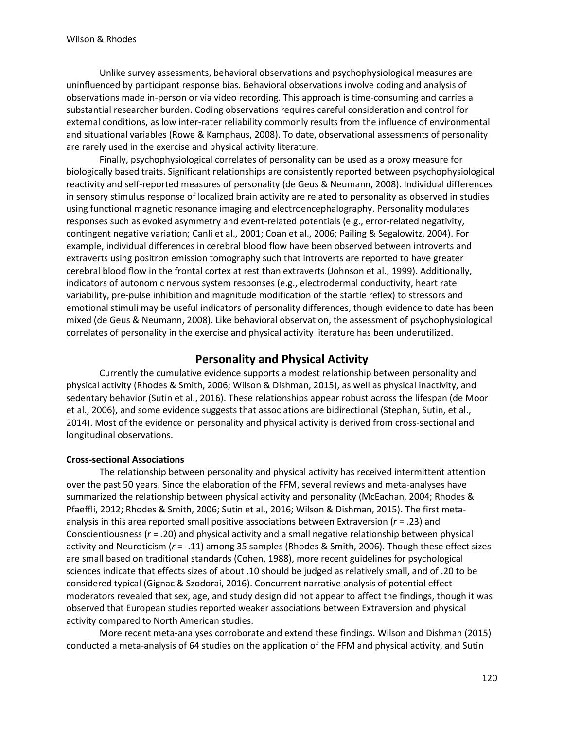Unlike survey assessments, behavioral observations and psychophysiological measures are uninfluenced by participant response bias. Behavioral observations involve coding and analysis of observations made in-person or via video recording. This approach is time-consuming and carries a substantial researcher burden. Coding observations requires careful consideration and control for external conditions, as low inter-rater reliability commonly results from the influence of environmental and situational variables (Rowe & Kamphaus, 2008). To date, observational assessments of personality are rarely used in the exercise and physical activity literature.

Finally, psychophysiological correlates of personality can be used as a proxy measure for biologically based traits. Significant relationships are consistently reported between psychophysiological reactivity and self-reported measures of personality (de Geus & Neumann, 2008). Individual differences in sensory stimulus response of localized brain activity are related to personality as observed in studies using functional magnetic resonance imaging and electroencephalography. Personality modulates responses such as evoked asymmetry and event-related potentials (e.g., error-related negativity, contingent negative variation; Canli et al., 2001; Coan et al., 2006; Pailing & Segalowitz, 2004). For example, individual differences in cerebral blood flow have been observed between introverts and extraverts using positron emission tomography such that introverts are reported to have greater cerebral blood flow in the frontal cortex at rest than extraverts (Johnson et al., 1999). Additionally, indicators of autonomic nervous system responses (e.g., electrodermal conductivity, heart rate variability, pre-pulse inhibition and magnitude modification of the startle reflex) to stressors and emotional stimuli may be useful indicators of personality differences, though evidence to date has been mixed (de Geus & Neumann, 2008). Like behavioral observation, the assessment of psychophysiological correlates of personality in the exercise and physical activity literature has been underutilized.

# **Personality and Physical Activity**

Currently the cumulative evidence supports a modest relationship between personality and physical activity (Rhodes & Smith, 2006; Wilson & Dishman, 2015), as well as physical inactivity, and sedentary behavior (Sutin et al., 2016). These relationships appear robust across the lifespan (de Moor et al., 2006), and some evidence suggests that associations are bidirectional (Stephan, Sutin, et al., 2014). Most of the evidence on personality and physical activity is derived from cross-sectional and longitudinal observations.

#### **Cross-sectional Associations**

The relationship between personality and physical activity has received intermittent attention over the past 50 years. Since the elaboration of the FFM, several reviews and meta-analyses have summarized the relationship between physical activity and personality (McEachan, 2004; Rhodes & Pfaeffli, 2012; Rhodes & Smith, 2006; Sutin et al., 2016; Wilson & Dishman, 2015). The first metaanalysis in this area reported small positive associations between Extraversion (*r* = .23) and Conscientiousness (*r* = .20) and physical activity and a small negative relationship between physical activity and Neuroticism (*r* = -.11) among 35 samples (Rhodes & Smith, 2006). Though these effect sizes are small based on traditional standards (Cohen, 1988), more recent guidelines for psychological sciences indicate that effects sizes of about .10 should be judged as relatively small, and of .20 to be considered typical (Gignac & Szodorai, 2016). Concurrent narrative analysis of potential effect moderators revealed that sex, age, and study design did not appear to affect the findings, though it was observed that European studies reported weaker associations between Extraversion and physical activity compared to North American studies.

More recent meta-analyses corroborate and extend these findings. Wilson and Dishman (2015) conducted a meta-analysis of 64 studies on the application of the FFM and physical activity, and Sutin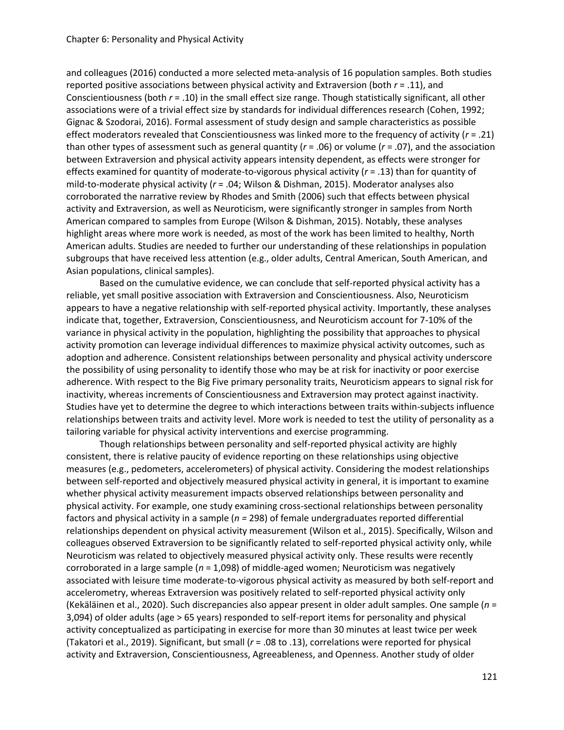and colleagues (2016) conducted a more selected meta-analysis of 16 population samples. Both studies reported positive associations between physical activity and Extraversion (both *r* = .11), and Conscientiousness (both *r* = .10) in the small effect size range. Though statistically significant, all other associations were of a trivial effect size by standards for individual differences research (Cohen, 1992; Gignac & Szodorai, 2016). Formal assessment of study design and sample characteristics as possible effect moderators revealed that Conscientiousness was linked more to the frequency of activity (*r* = .21) than other types of assessment such as general quantity (*r* = .06) or volume (*r* = .07), and the association between Extraversion and physical activity appears intensity dependent, as effects were stronger for effects examined for quantity of moderate-to-vigorous physical activity (*r* = .13) than for quantity of mild-to-moderate physical activity (*r* = .04; Wilson & Dishman, 2015). Moderator analyses also corroborated the narrative review by Rhodes and Smith (2006) such that effects between physical activity and Extraversion, as well as Neuroticism, were significantly stronger in samples from North American compared to samples from Europe (Wilson & Dishman, 2015). Notably, these analyses highlight areas where more work is needed, as most of the work has been limited to healthy, North American adults. Studies are needed to further our understanding of these relationships in population subgroups that have received less attention (e.g., older adults, Central American, South American, and Asian populations, clinical samples).

Based on the cumulative evidence, we can conclude that self-reported physical activity has a reliable, yet small positive association with Extraversion and Conscientiousness. Also, Neuroticism appears to have a negative relationship with self-reported physical activity. Importantly, these analyses indicate that, together, Extraversion, Conscientiousness, and Neuroticism account for 7-10% of the variance in physical activity in the population, highlighting the possibility that approaches to physical activity promotion can leverage individual differences to maximize physical activity outcomes, such as adoption and adherence. Consistent relationships between personality and physical activity underscore the possibility of using personality to identify those who may be at risk for inactivity or poor exercise adherence. With respect to the Big Five primary personality traits, Neuroticism appears to signal risk for inactivity, whereas increments of Conscientiousness and Extraversion may protect against inactivity. Studies have yet to determine the degree to which interactions between traits within-subjects influence relationships between traits and activity level. More work is needed to test the utility of personality as a tailoring variable for physical activity interventions and exercise programming.

Though relationships between personality and self-reported physical activity are highly consistent, there is relative paucity of evidence reporting on these relationships using objective measures (e.g., pedometers, accelerometers) of physical activity. Considering the modest relationships between self-reported and objectively measured physical activity in general, it is important to examine whether physical activity measurement impacts observed relationships between personality and physical activity. For example, one study examining cross-sectional relationships between personality factors and physical activity in a sample (*n =* 298) of female undergraduates reported differential relationships dependent on physical activity measurement (Wilson et al., 2015). Specifically, Wilson and colleagues observed Extraversion to be significantly related to self-reported physical activity only, while Neuroticism was related to objectively measured physical activity only. These results were recently corroborated in a large sample (*n* = 1,098) of middle-aged women; Neuroticism was negatively associated with leisure time moderate-to-vigorous physical activity as measured by both self-report and accelerometry, whereas Extraversion was positively related to self-reported physical activity only (Kekäläinen et al., 2020). Such discrepancies also appear present in older adult samples. One sample (*n* = 3,094) of older adults (age > 65 years) responded to self-report items for personality and physical activity conceptualized as participating in exercise for more than 30 minutes at least twice per week (Takatori et al., 2019). Significant, but small (*r* = .08 to .13), correlations were reported for physical activity and Extraversion, Conscientiousness, Agreeableness, and Openness. Another study of older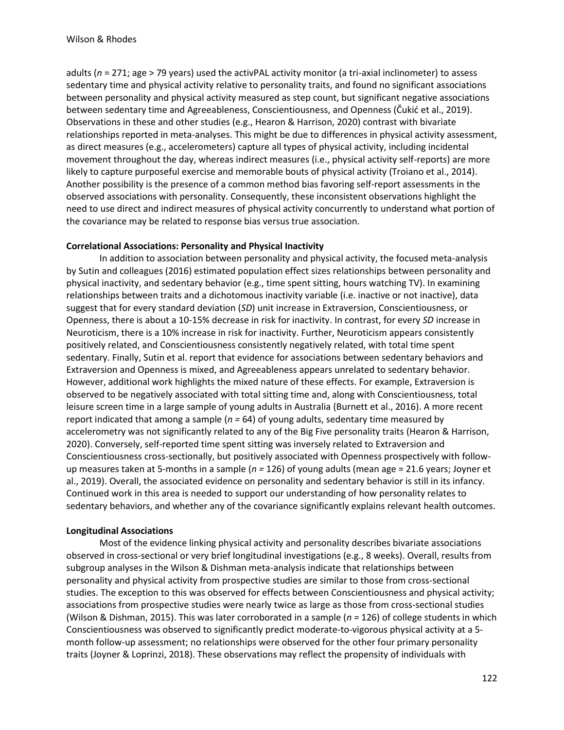adults (*n* = 271; age > 79 years) used the activPAL activity monitor (a tri-axial inclinometer) to assess sedentary time and physical activity relative to personality traits, and found no significant associations between personality and physical activity measured as step count, but significant negative associations between sedentary time and Agreeableness, Conscientiousness, and Openness (Čukić et al., 2019). Observations in these and other studies (e.g., Hearon & Harrison, 2020) contrast with bivariate relationships reported in meta-analyses. This might be due to differences in physical activity assessment, as direct measures (e.g., accelerometers) capture all types of physical activity, including incidental movement throughout the day, whereas indirect measures (i.e., physical activity self-reports) are more likely to capture purposeful exercise and memorable bouts of physical activity (Troiano et al., 2014). Another possibility is the presence of a common method bias favoring self-report assessments in the observed associations with personality. Consequently, these inconsistent observations highlight the need to use direct and indirect measures of physical activity concurrently to understand what portion of the covariance may be related to response bias versus true association.

#### **Correlational Associations: Personality and Physical Inactivity**

In addition to association between personality and physical activity, the focused meta-analysis by Sutin and colleagues (2016) estimated population effect sizes relationships between personality and physical inactivity, and sedentary behavior (e.g., time spent sitting, hours watching TV). In examining relationships between traits and a dichotomous inactivity variable (i.e. inactive or not inactive), data suggest that for every standard deviation (*SD*) unit increase in Extraversion, Conscientiousness, or Openness, there is about a 10-15% decrease in risk for inactivity. In contrast, for every *SD* increase in Neuroticism, there is a 10% increase in risk for inactivity. Further, Neuroticism appears consistently positively related, and Conscientiousness consistently negatively related, with total time spent sedentary. Finally, Sutin et al. report that evidence for associations between sedentary behaviors and Extraversion and Openness is mixed, and Agreeableness appears unrelated to sedentary behavior. However, additional work highlights the mixed nature of these effects. For example, Extraversion is observed to be negatively associated with total sitting time and, along with Conscientiousness, total leisure screen time in a large sample of young adults in Australia (Burnett et al., 2016). A more recent report indicated that among a sample (*n =* 64) of young adults, sedentary time measured by accelerometry was not significantly related to any of the Big Five personality traits (Hearon & Harrison, 2020). Conversely, self-reported time spent sitting was inversely related to Extraversion and Conscientiousness cross-sectionally, but positively associated with Openness prospectively with followup measures taken at 5-months in a sample (*n =* 126) of young adults (mean age = 21.6 years; Joyner et al., 2019). Overall, the associated evidence on personality and sedentary behavior is still in its infancy. Continued work in this area is needed to support our understanding of how personality relates to sedentary behaviors, and whether any of the covariance significantly explains relevant health outcomes.

#### **Longitudinal Associations**

Most of the evidence linking physical activity and personality describes bivariate associations observed in cross-sectional or very brief longitudinal investigations (e.g., 8 weeks). Overall, results from subgroup analyses in the Wilson & Dishman meta-analysis indicate that relationships between personality and physical activity from prospective studies are similar to those from cross-sectional studies. The exception to this was observed for effects between Conscientiousness and physical activity; associations from prospective studies were nearly twice as large as those from cross-sectional studies (Wilson & Dishman, 2015). This was later corroborated in a sample (*n =* 126) of college students in which Conscientiousness was observed to significantly predict moderate-to-vigorous physical activity at a 5 month follow-up assessment; no relationships were observed for the other four primary personality traits (Joyner & Loprinzi, 2018). These observations may reflect the propensity of individuals with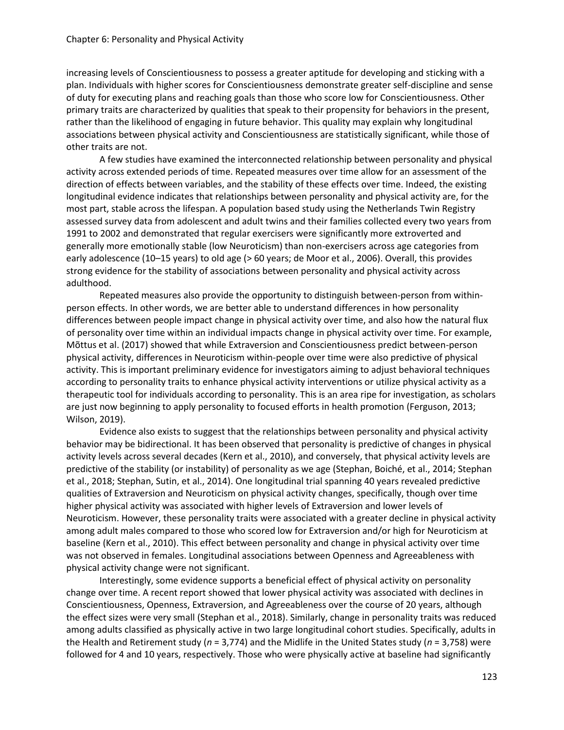increasing levels of Conscientiousness to possess a greater aptitude for developing and sticking with a plan. Individuals with higher scores for Conscientiousness demonstrate greater self-discipline and sense of duty for executing plans and reaching goals than those who score low for Conscientiousness. Other primary traits are characterized by qualities that speak to their propensity for behaviors in the present, rather than the likelihood of engaging in future behavior. This quality may explain why longitudinal associations between physical activity and Conscientiousness are statistically significant, while those of other traits are not.

A few studies have examined the interconnected relationship between personality and physical activity across extended periods of time. Repeated measures over time allow for an assessment of the direction of effects between variables, and the stability of these effects over time. Indeed, the existing longitudinal evidence indicates that relationships between personality and physical activity are, for the most part, stable across the lifespan. A population based study using the Netherlands Twin Registry assessed survey data from adolescent and adult twins and their families collected every two years from 1991 to 2002 and demonstrated that regular exercisers were significantly more extroverted and generally more emotionally stable (low Neuroticism) than non-exercisers across age categories from early adolescence (10–15 years) to old age (> 60 years; de Moor et al., 2006). Overall, this provides strong evidence for the stability of associations between personality and physical activity across adulthood.

Repeated measures also provide the opportunity to distinguish between-person from withinperson effects. In other words, we are better able to understand differences in how personality differences between people impact change in physical activity over time, and also how the natural flux of personality over time within an individual impacts change in physical activity over time. For example, Mõttus et al. (2017) showed that while Extraversion and Conscientiousness predict between-person physical activity, differences in Neuroticism within-people over time were also predictive of physical activity. This is important preliminary evidence for investigators aiming to adjust behavioral techniques according to personality traits to enhance physical activity interventions or utilize physical activity as a therapeutic tool for individuals according to personality. This is an area ripe for investigation, as scholars are just now beginning to apply personality to focused efforts in health promotion (Ferguson, 2013; Wilson, 2019).

Evidence also exists to suggest that the relationships between personality and physical activity behavior may be bidirectional. It has been observed that personality is predictive of changes in physical activity levels across several decades (Kern et al., 2010), and conversely, that physical activity levels are predictive of the stability (or instability) of personality as we age (Stephan, Boiché, et al., 2014; Stephan et al., 2018; Stephan, Sutin, et al., 2014). One longitudinal trial spanning 40 years revealed predictive qualities of Extraversion and Neuroticism on physical activity changes, specifically, though over time higher physical activity was associated with higher levels of Extraversion and lower levels of Neuroticism. However, these personality traits were associated with a greater decline in physical activity among adult males compared to those who scored low for Extraversion and/or high for Neuroticism at baseline (Kern et al., 2010). This effect between personality and change in physical activity over time was not observed in females. Longitudinal associations between Openness and Agreeableness with physical activity change were not significant.

Interestingly, some evidence supports a beneficial effect of physical activity on personality change over time. A recent report showed that lower physical activity was associated with declines in Conscientiousness, Openness, Extraversion, and Agreeableness over the course of 20 years, although the effect sizes were very small (Stephan et al., 2018). Similarly, change in personality traits was reduced among adults classified as physically active in two large longitudinal cohort studies. Specifically, adults in the Health and Retirement study (*n* = 3,774) and the Midlife in the United States study (*n* = 3,758) were followed for 4 and 10 years, respectively. Those who were physically active at baseline had significantly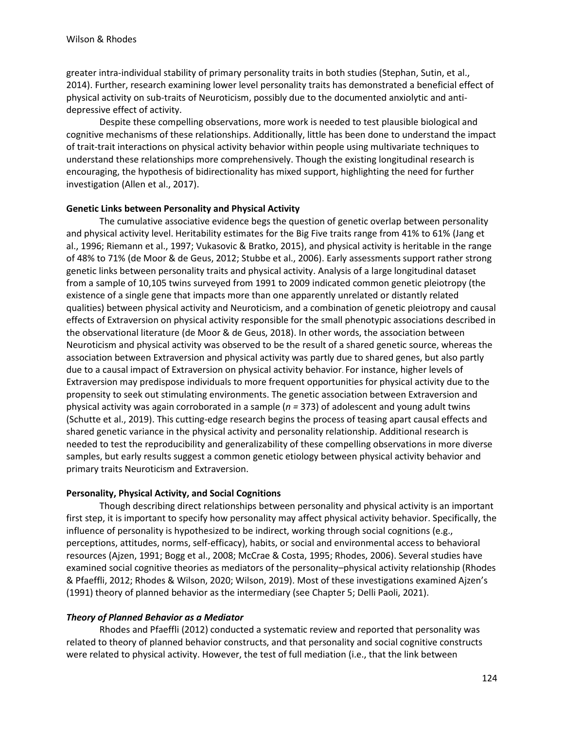greater intra-individual stability of primary personality traits in both studies (Stephan, Sutin, et al., 2014). Further, research examining lower level personality traits has demonstrated a beneficial effect of physical activity on sub-traits of Neuroticism, possibly due to the documented anxiolytic and antidepressive effect of activity.

Despite these compelling observations, more work is needed to test plausible biological and cognitive mechanisms of these relationships. Additionally, little has been done to understand the impact of trait-trait interactions on physical activity behavior within people using multivariate techniques to understand these relationships more comprehensively. Though the existing longitudinal research is encouraging, the hypothesis of bidirectionality has mixed support, highlighting the need for further investigation (Allen et al., 2017).

#### **Genetic Links between Personality and Physical Activity**

The cumulative associative evidence begs the question of genetic overlap between personality and physical activity level. Heritability estimates for the Big Five traits range from 41% to 61% (Jang et al., 1996; Riemann et al., 1997; Vukasovic & Bratko, 2015), and physical activity is heritable in the range of 48% to 71% (de Moor & de Geus, 2012; Stubbe et al., 2006). Early assessments support rather strong genetic links between personality traits and physical activity. Analysis of a large longitudinal dataset from a sample of 10,105 twins surveyed from 1991 to 2009 indicated common genetic pleiotropy (the existence of a single gene that impacts more than one apparently unrelated or distantly related qualities) between physical activity and Neuroticism, and a combination of genetic pleiotropy and causal effects of Extraversion on physical activity responsible for the small phenotypic associations described in the observational literature (de Moor & de Geus, 2018). In other words, the association between Neuroticism and physical activity was observed to be the result of a shared genetic source, whereas the association between Extraversion and physical activity was partly due to shared genes, but also partly due to a causal impact of Extraversion on physical activity behavior. For instance, higher levels of Extraversion may predispose individuals to more frequent opportunities for physical activity due to the propensity to seek out stimulating environments. The genetic association between Extraversion and physical activity was again corroborated in a sample (*n =* 373) of adolescent and young adult twins (Schutte et al., 2019). This cutting-edge research begins the process of teasing apart causal effects and shared genetic variance in the physical activity and personality relationship. Additional research is needed to test the reproducibility and generalizability of these compelling observations in more diverse samples, but early results suggest a common genetic etiology between physical activity behavior and primary traits Neuroticism and Extraversion.

#### **Personality, Physical Activity, and Social Cognitions**

Though describing direct relationships between personality and physical activity is an important first step, it is important to specify how personality may affect physical activity behavior. Specifically, the influence of personality is hypothesized to be indirect, working through social cognitions (e.g., perceptions, attitudes, norms, self-efficacy), habits, or social and environmental access to behavioral resources (Ajzen, 1991; Bogg et al., 2008; McCrae & Costa, 1995; Rhodes, 2006). Several studies have examined social cognitive theories as mediators of the personality–physical activity relationship (Rhodes & Pfaeffli, 2012; Rhodes & Wilson, 2020; Wilson, 2019). Most of these investigations examined Ajzen's (1991) theory of planned behavior as the intermediary (see Chapter 5; Delli Paoli, 2021).

#### *Theory of Planned Behavior as a Mediator*

Rhodes and Pfaeffli (2012) conducted a systematic review and reported that personality was related to theory of planned behavior constructs, and that personality and social cognitive constructs were related to physical activity. However, the test of full mediation (i.e., that the link between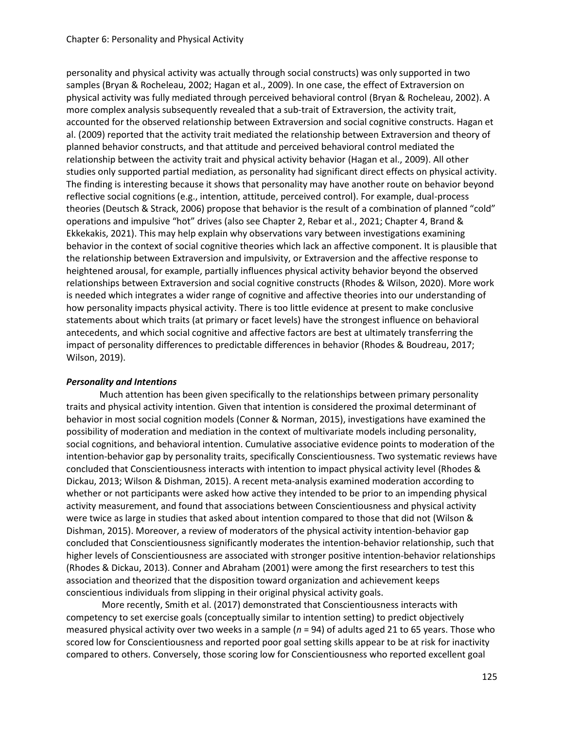personality and physical activity was actually through social constructs) was only supported in two samples (Bryan & Rocheleau, 2002; Hagan et al., 2009). In one case, the effect of Extraversion on physical activity was fully mediated through perceived behavioral control (Bryan & Rocheleau, 2002). A more complex analysis subsequently revealed that a sub-trait of Extraversion, the activity trait, accounted for the observed relationship between Extraversion and social cognitive constructs. Hagan et al. (2009) reported that the activity trait mediated the relationship between Extraversion and theory of planned behavior constructs, and that attitude and perceived behavioral control mediated the relationship between the activity trait and physical activity behavior (Hagan et al., 2009). All other studies only supported partial mediation, as personality had significant direct effects on physical activity. The finding is interesting because it shows that personality may have another route on behavior beyond reflective social cognitions (e.g., intention, attitude, perceived control). For example, dual-process theories (Deutsch & Strack, 2006) propose that behavior is the result of a combination of planned "cold" operations and impulsive "hot" drives (also see Chapter 2, Rebar et al., 2021; Chapter 4, Brand & Ekkekakis, 2021). This may help explain why observations vary between investigations examining behavior in the context of social cognitive theories which lack an affective component. It is plausible that the relationship between Extraversion and impulsivity, or Extraversion and the affective response to heightened arousal, for example, partially influences physical activity behavior beyond the observed relationships between Extraversion and social cognitive constructs (Rhodes & Wilson, 2020). More work is needed which integrates a wider range of cognitive and affective theories into our understanding of how personality impacts physical activity. There is too little evidence at present to make conclusive statements about which traits (at primary or facet levels) have the strongest influence on behavioral antecedents, and which social cognitive and affective factors are best at ultimately transferring the impact of personality differences to predictable differences in behavior (Rhodes & Boudreau, 2017; Wilson, 2019).

#### *Personality and Intentions*

Much attention has been given specifically to the relationships between primary personality traits and physical activity intention. Given that intention is considered the proximal determinant of behavior in most social cognition models (Conner & Norman, 2015), investigations have examined the possibility of moderation and mediation in the context of multivariate models including personality, social cognitions, and behavioral intention. Cumulative associative evidence points to moderation of the intention-behavior gap by personality traits, specifically Conscientiousness. Two systematic reviews have concluded that Conscientiousness interacts with intention to impact physical activity level (Rhodes & Dickau, 2013; Wilson & Dishman, 2015). A recent meta-analysis examined moderation according to whether or not participants were asked how active they intended to be prior to an impending physical activity measurement, and found that associations between Conscientiousness and physical activity were twice as large in studies that asked about intention compared to those that did not (Wilson & Dishman, 2015). Moreover, a review of moderators of the physical activity intention-behavior gap concluded that Conscientiousness significantly moderates the intention-behavior relationship, such that higher levels of Conscientiousness are associated with stronger positive intention-behavior relationships (Rhodes & Dickau, 2013). Conner and Abraham (2001) were among the first researchers to test this association and theorized that the disposition toward organization and achievement keeps conscientious individuals from slipping in their original physical activity goals.

More recently, Smith et al. (2017) demonstrated that Conscientiousness interacts with competency to set exercise goals (conceptually similar to intention setting) to predict objectively measured physical activity over two weeks in a sample (*n* = 94) of adults aged 21 to 65 years. Those who scored low for Conscientiousness and reported poor goal setting skills appear to be at risk for inactivity compared to others. Conversely, those scoring low for Conscientiousness who reported excellent goal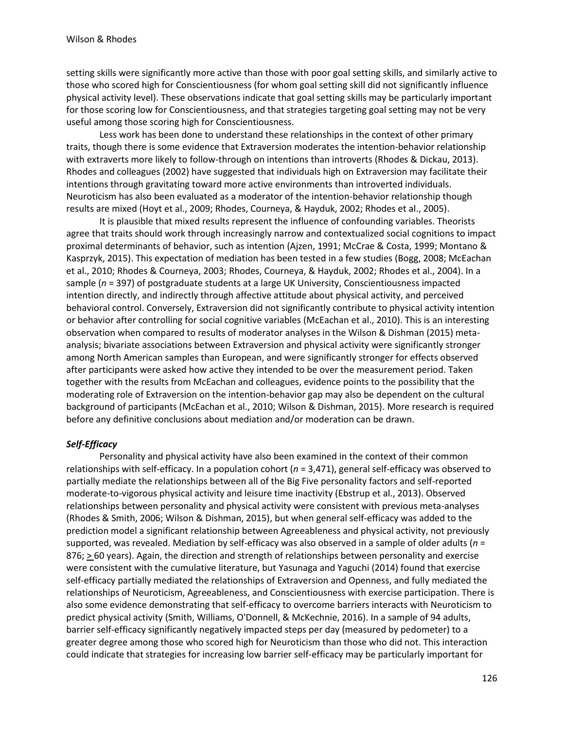setting skills were significantly more active than those with poor goal setting skills, and similarly active to those who scored high for Conscientiousness (for whom goal setting skill did not significantly influence physical activity level). These observations indicate that goal setting skills may be particularly important for those scoring low for Conscientiousness, and that strategies targeting goal setting may not be very useful among those scoring high for Conscientiousness.

Less work has been done to understand these relationships in the context of other primary traits, though there is some evidence that Extraversion moderates the intention-behavior relationship with extraverts more likely to follow-through on intentions than introverts (Rhodes & Dickau, 2013). Rhodes and colleagues (2002) have suggested that individuals high on Extraversion may facilitate their intentions through gravitating toward more active environments than introverted individuals. Neuroticism has also been evaluated as a moderator of the intention-behavior relationship though results are mixed (Hoyt et al., 2009; Rhodes, Courneya, & Hayduk, 2002; Rhodes et al., 2005).

It is plausible that mixed results represent the influence of confounding variables. Theorists agree that traits should work through increasingly narrow and contextualized social cognitions to impact proximal determinants of behavior, such as intention (Ajzen, 1991; McCrae & Costa, 1999; Montano & Kasprzyk, 2015). This expectation of mediation has been tested in a few studies (Bogg, 2008; McEachan et al., 2010; Rhodes & Courneya, 2003; Rhodes, Courneya, & Hayduk, 2002; Rhodes et al., 2004). In a sample ( $n = 397$ ) of postgraduate students at a large UK University, Conscientiousness impacted intention directly, and indirectly through affective attitude about physical activity, and perceived behavioral control. Conversely, Extraversion did not significantly contribute to physical activity intention or behavior after controlling for social cognitive variables (McEachan et al., 2010). This is an interesting observation when compared to results of moderator analyses in the Wilson & Dishman (2015) metaanalysis; bivariate associations between Extraversion and physical activity were significantly stronger among North American samples than European, and were significantly stronger for effects observed after participants were asked how active they intended to be over the measurement period. Taken together with the results from McEachan and colleagues, evidence points to the possibility that the moderating role of Extraversion on the intention-behavior gap may also be dependent on the cultural background of participants (McEachan et al., 2010; Wilson & Dishman, 2015). More research is required before any definitive conclusions about mediation and/or moderation can be drawn.

#### *Self-Efficacy*

Personality and physical activity have also been examined in the context of their common relationships with self-efficacy. In a population cohort (*n* = 3,471), general self-efficacy was observed to partially mediate the relationships between all of the Big Five personality factors and self-reported moderate-to-vigorous physical activity and leisure time inactivity (Ebstrup et al., 2013). Observed relationships between personality and physical activity were consistent with previous meta-analyses (Rhodes & Smith, 2006; Wilson & Dishman, 2015), but when general self-efficacy was added to the prediction model a significant relationship between Agreeableness and physical activity, not previously supported, was revealed. Mediation by self-efficacy was also observed in a sample of older adults (*n* = 876; > 60 years). Again, the direction and strength of relationships between personality and exercise were consistent with the cumulative literature, but Yasunaga and Yaguchi (2014) found that exercise self-efficacy partially mediated the relationships of Extraversion and Openness, and fully mediated the relationships of Neuroticism, Agreeableness, and Conscientiousness with exercise participation. There is also some evidence demonstrating that self-efficacy to overcome barriers interacts with Neuroticism to predict physical activity (Smith, Williams, O'Donnell, & McKechnie, 2016). In a sample of 94 adults, barrier self-efficacy significantly negatively impacted steps per day (measured by pedometer) to a greater degree among those who scored high for Neuroticism than those who did not. This interaction could indicate that strategies for increasing low barrier self-efficacy may be particularly important for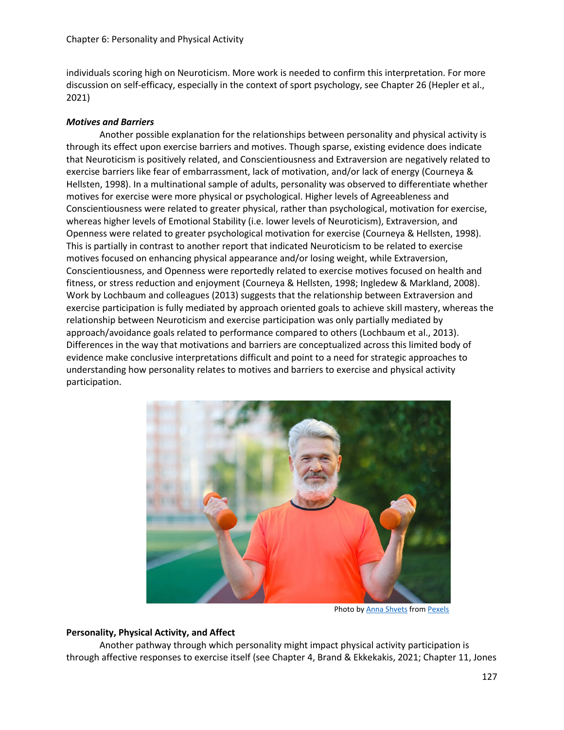individuals scoring high on Neuroticism. More work is needed to confirm this interpretation. For more discussion on self-efficacy, especially in the context of sport psychology, see Chapter 26 (Hepler et al., 2021)

#### *Motives and Barriers*

Another possible explanation for the relationships between personality and physical activity is through its effect upon exercise barriers and motives. Though sparse, existing evidence does indicate that Neuroticism is positively related, and Conscientiousness and Extraversion are negatively related to exercise barriers like fear of embarrassment, lack of motivation, and/or lack of energy (Courneya & Hellsten, 1998). In a multinational sample of adults, personality was observed to differentiate whether motives for exercise were more physical or psychological. Higher levels of Agreeableness and Conscientiousness were related to greater physical, rather than psychological, motivation for exercise, whereas higher levels of Emotional Stability (i.e. lower levels of Neuroticism), Extraversion, and Openness were related to greater psychological motivation for exercise (Courneya & Hellsten, 1998). This is partially in contrast to another report that indicated Neuroticism to be related to exercise motives focused on enhancing physical appearance and/or losing weight, while Extraversion, Conscientiousness, and Openness were reportedly related to exercise motives focused on health and fitness, or stress reduction and enjoyment (Courneya & Hellsten, 1998; Ingledew & Markland, 2008). Work by Lochbaum and colleagues (2013) suggests that the relationship between Extraversion and exercise participation is fully mediated by approach oriented goals to achieve skill mastery, whereas the relationship between Neuroticism and exercise participation was only partially mediated by approach/avoidance goals related to performance compared to others (Lochbaum et al., 2013). Differences in the way that motivations and barriers are conceptualized across this limited body of evidence make conclusive interpretations difficult and point to a need for strategic approaches to understanding how personality relates to motives and barriers to exercise and physical activity participation.

![](_page_13_Picture_4.jpeg)

Photo by **Anna Shvets** from **Pexels** 

#### **Personality, Physical Activity, and Affect**

Another pathway through which personality might impact physical activity participation is through affective responses to exercise itself (see Chapter 4, Brand & Ekkekakis, 2021; Chapter 11, Jones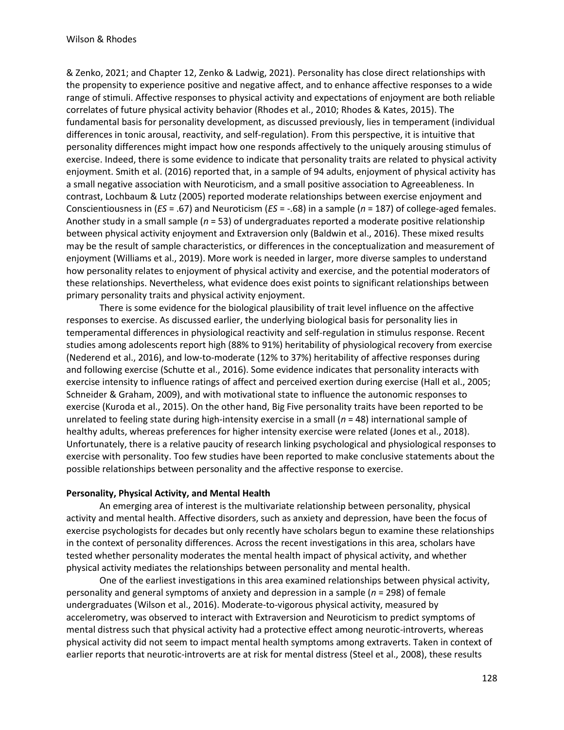& Zenko, 2021; and Chapter 12, Zenko & Ladwig, 2021). Personality has close direct relationships with the propensity to experience positive and negative affect, and to enhance affective responses to a wide range of stimuli. Affective responses to physical activity and expectations of enjoyment are both reliable correlates of future physical activity behavior (Rhodes et al., 2010; Rhodes & Kates, 2015). The fundamental basis for personality development, as discussed previously, lies in temperament (individual differences in tonic arousal, reactivity, and self-regulation). From this perspective, it is intuitive that personality differences might impact how one responds affectively to the uniquely arousing stimulus of exercise. Indeed, there is some evidence to indicate that personality traits are related to physical activity enjoyment. Smith et al. (2016) reported that, in a sample of 94 adults, enjoyment of physical activity has a small negative association with Neuroticism, and a small positive association to Agreeableness. In contrast, Lochbaum & Lutz (2005) reported moderate relationships between exercise enjoyment and Conscientiousness in (*ES* = .67) and Neuroticism (*ES* = -.68) in a sample (*n* = 187) of college-aged females. Another study in a small sample (*n* = 53) of undergraduates reported a moderate positive relationship between physical activity enjoyment and Extraversion only (Baldwin et al., 2016). These mixed results may be the result of sample characteristics, or differences in the conceptualization and measurement of enjoyment (Williams et al., 2019). More work is needed in larger, more diverse samples to understand how personality relates to enjoyment of physical activity and exercise, and the potential moderators of these relationships. Nevertheless, what evidence does exist points to significant relationships between primary personality traits and physical activity enjoyment.

There is some evidence for the biological plausibility of trait level influence on the affective responses to exercise. As discussed earlier, the underlying biological basis for personality lies in temperamental differences in physiological reactivity and self-regulation in stimulus response. Recent studies among adolescents report high (88% to 91%) heritability of physiological recovery from exercise (Nederend et al., 2016), and low-to-moderate (12% to 37%) heritability of affective responses during and following exercise (Schutte et al., 2016). Some evidence indicates that personality interacts with exercise intensity to influence ratings of affect and perceived exertion during exercise (Hall et al., 2005; Schneider & Graham, 2009), and with motivational state to influence the autonomic responses to exercise (Kuroda et al., 2015). On the other hand, Big Five personality traits have been reported to be unrelated to feeling state during high-intensity exercise in a small (*n* = 48) international sample of healthy adults, whereas preferences for higher intensity exercise were related (Jones et al., 2018). Unfortunately, there is a relative paucity of research linking psychological and physiological responses to exercise with personality. Too few studies have been reported to make conclusive statements about the possible relationships between personality and the affective response to exercise.

#### **Personality, Physical Activity, and Mental Health**

An emerging area of interest is the multivariate relationship between personality, physical activity and mental health. Affective disorders, such as anxiety and depression, have been the focus of exercise psychologists for decades but only recently have scholars begun to examine these relationships in the context of personality differences. Across the recent investigations in this area, scholars have tested whether personality moderates the mental health impact of physical activity, and whether physical activity mediates the relationships between personality and mental health.

One of the earliest investigations in this area examined relationships between physical activity, personality and general symptoms of anxiety and depression in a sample (*n* = 298) of female undergraduates (Wilson et al., 2016). Moderate-to-vigorous physical activity, measured by accelerometry, was observed to interact with Extraversion and Neuroticism to predict symptoms of mental distress such that physical activity had a protective effect among neurotic-introverts, whereas physical activity did not seem to impact mental health symptoms among extraverts. Taken in context of earlier reports that neurotic-introverts are at risk for mental distress (Steel et al., 2008), these results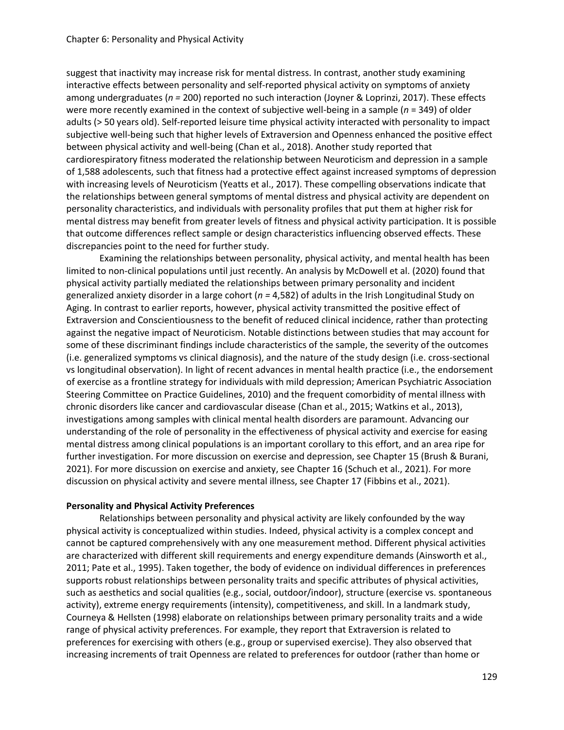suggest that inactivity may increase risk for mental distress. In contrast, another study examining interactive effects between personality and self-reported physical activity on symptoms of anxiety among undergraduates (*n =* 200) reported no such interaction (Joyner & Loprinzi, 2017). These effects were more recently examined in the context of subjective well-being in a sample (*n* = 349) of older adults (> 50 years old). Self-reported leisure time physical activity interacted with personality to impact subjective well-being such that higher levels of Extraversion and Openness enhanced the positive effect between physical activity and well-being (Chan et al., 2018). Another study reported that cardiorespiratory fitness moderated the relationship between Neuroticism and depression in a sample of 1,588 adolescents, such that fitness had a protective effect against increased symptoms of depression with increasing levels of Neuroticism (Yeatts et al., 2017). These compelling observations indicate that the relationships between general symptoms of mental distress and physical activity are dependent on personality characteristics, and individuals with personality profiles that put them at higher risk for mental distress may benefit from greater levels of fitness and physical activity participation. It is possible that outcome differences reflect sample or design characteristics influencing observed effects. These discrepancies point to the need for further study.

Examining the relationships between personality, physical activity, and mental health has been limited to non-clinical populations until just recently. An analysis by McDowell et al. (2020) found that physical activity partially mediated the relationships between primary personality and incident generalized anxiety disorder in a large cohort (*n =* 4,582) of adults in the Irish Longitudinal Study on Aging. In contrast to earlier reports, however, physical activity transmitted the positive effect of Extraversion and Conscientiousness to the benefit of reduced clinical incidence, rather than protecting against the negative impact of Neuroticism. Notable distinctions between studies that may account for some of these discriminant findings include characteristics of the sample, the severity of the outcomes (i.e. generalized symptoms vs clinical diagnosis), and the nature of the study design (i.e. cross-sectional vs longitudinal observation). In light of recent advances in mental health practice (i.e., the endorsement of exercise as a frontline strategy for individuals with mild depression; American Psychiatric Association Steering Committee on Practice Guidelines, 2010) and the frequent comorbidity of mental illness with chronic disorders like cancer and cardiovascular disease (Chan et al., 2015; Watkins et al., 2013), investigations among samples with clinical mental health disorders are paramount. Advancing our understanding of the role of personality in the effectiveness of physical activity and exercise for easing mental distress among clinical populations is an important corollary to this effort, and an area ripe for further investigation. For more discussion on exercise and depression, see Chapter 15 (Brush & Burani, 2021). For more discussion on exercise and anxiety, see Chapter 16 (Schuch et al., 2021). For more discussion on physical activity and severe mental illness, see Chapter 17 (Fibbins et al., 2021).

#### **Personality and Physical Activity Preferences**

Relationships between personality and physical activity are likely confounded by the way physical activity is conceptualized within studies. Indeed, physical activity is a complex concept and cannot be captured comprehensively with any one measurement method. Different physical activities are characterized with different skill requirements and energy expenditure demands (Ainsworth et al., 2011; Pate et al., 1995). Taken together, the body of evidence on individual differences in preferences supports robust relationships between personality traits and specific attributes of physical activities, such as aesthetics and social qualities (e.g., social, outdoor/indoor), structure (exercise vs. spontaneous activity), extreme energy requirements (intensity), competitiveness, and skill. In a landmark study, Courneya & Hellsten (1998) elaborate on relationships between primary personality traits and a wide range of physical activity preferences. For example, they report that Extraversion is related to preferences for exercising with others (e.g., group or supervised exercise). They also observed that increasing increments of trait Openness are related to preferences for outdoor (rather than home or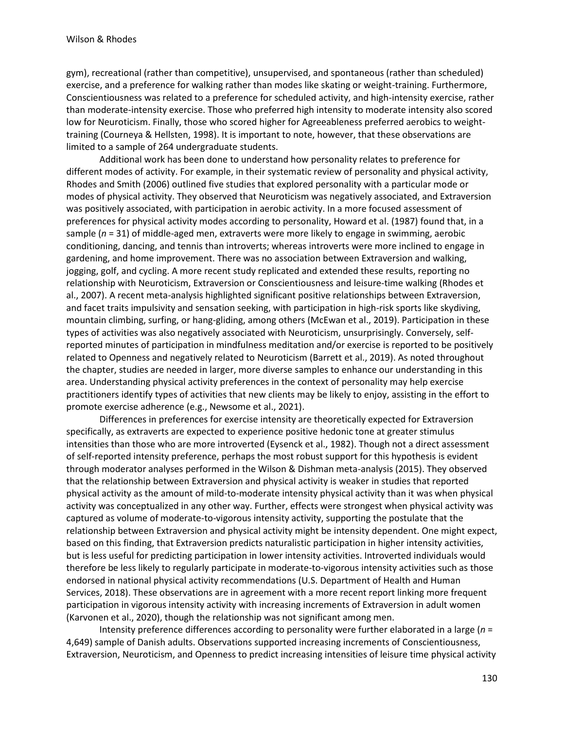gym), recreational (rather than competitive), unsupervised, and spontaneous (rather than scheduled) exercise, and a preference for walking rather than modes like skating or weight-training. Furthermore, Conscientiousness was related to a preference for scheduled activity, and high-intensity exercise, rather than moderate-intensity exercise. Those who preferred high intensity to moderate intensity also scored low for Neuroticism. Finally, those who scored higher for Agreeableness preferred aerobics to weighttraining (Courneya & Hellsten, 1998). It is important to note, however, that these observations are limited to a sample of 264 undergraduate students.

Additional work has been done to understand how personality relates to preference for different modes of activity. For example, in their systematic review of personality and physical activity, Rhodes and Smith (2006) outlined five studies that explored personality with a particular mode or modes of physical activity. They observed that Neuroticism was negatively associated, and Extraversion was positively associated, with participation in aerobic activity. In a more focused assessment of preferences for physical activity modes according to personality, Howard et al. (1987) found that, in a sample (*n* = 31) of middle-aged men, extraverts were more likely to engage in swimming, aerobic conditioning, dancing, and tennis than introverts; whereas introverts were more inclined to engage in gardening, and home improvement. There was no association between Extraversion and walking, jogging, golf, and cycling. A more recent study replicated and extended these results, reporting no relationship with Neuroticism, Extraversion or Conscientiousness and leisure-time walking (Rhodes et al., 2007). A recent meta-analysis highlighted significant positive relationships between Extraversion, and facet traits impulsivity and sensation seeking, with participation in high-risk sports like skydiving, mountain climbing, surfing, or hang-gliding, among others (McEwan et al., 2019). Participation in these types of activities was also negatively associated with Neuroticism, unsurprisingly. Conversely, selfreported minutes of participation in mindfulness meditation and/or exercise is reported to be positively related to Openness and negatively related to Neuroticism (Barrett et al., 2019). As noted throughout the chapter, studies are needed in larger, more diverse samples to enhance our understanding in this area. Understanding physical activity preferences in the context of personality may help exercise practitioners identify types of activities that new clients may be likely to enjoy, assisting in the effort to promote exercise adherence (e.g., Newsome et al., 2021).

Differences in preferences for exercise intensity are theoretically expected for Extraversion specifically, as extraverts are expected to experience positive hedonic tone at greater stimulus intensities than those who are more introverted (Eysenck et al., 1982). Though not a direct assessment of self-reported intensity preference, perhaps the most robust support for this hypothesis is evident through moderator analyses performed in the Wilson & Dishman meta-analysis (2015). They observed that the relationship between Extraversion and physical activity is weaker in studies that reported physical activity as the amount of mild-to-moderate intensity physical activity than it was when physical activity was conceptualized in any other way. Further, effects were strongest when physical activity was captured as volume of moderate-to-vigorous intensity activity, supporting the postulate that the relationship between Extraversion and physical activity might be intensity dependent. One might expect, based on this finding, that Extraversion predicts naturalistic participation in higher intensity activities, but is less useful for predicting participation in lower intensity activities. Introverted individuals would therefore be less likely to regularly participate in moderate-to-vigorous intensity activities such as those endorsed in national physical activity recommendations (U.S. Department of Health and Human Services, 2018). These observations are in agreement with a more recent report linking more frequent participation in vigorous intensity activity with increasing increments of Extraversion in adult women (Karvonen et al., 2020), though the relationship was not significant among men.

Intensity preference differences according to personality were further elaborated in a large (*n* = 4,649) sample of Danish adults. Observations supported increasing increments of Conscientiousness, Extraversion, Neuroticism, and Openness to predict increasing intensities of leisure time physical activity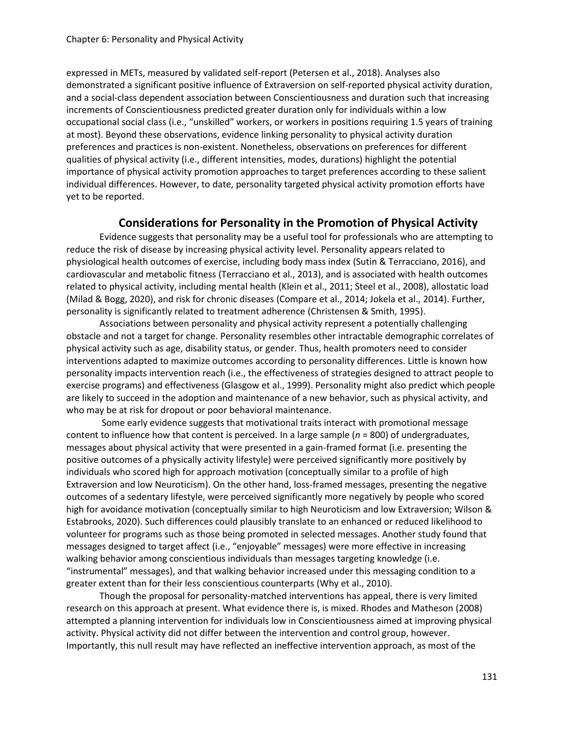expressed in METs, measured by validated self-report (Petersen et al., 2018). Analyses also demonstrated a significant positive influence of Extraversion on self-reported physical activity duration, and a social-class dependent association between Conscientiousness and duration such that increasing increments of Conscientiousness predicted greater duration only for individuals within a low occupational social class (i.e., "unskilled" workers, or workers in positions requiring 1.5 years of training at most). Beyond these observations, evidence linking personality to physical activity duration preferences and practices is non-existent. Nonetheless, observations on preferences for different qualities of physical activity (i.e., different intensities, modes, durations) highlight the potential importance of physical activity promotion approaches to target preferences according to these salient individual differences. However, to date, personality targeted physical activity promotion efforts have yet to be reported.

# **Considerations for Personality in the Promotion of Physical Activity**

Evidence suggests that personality may be a useful tool for professionals who are attempting to reduce the risk of disease by increasing physical activity level. Personality appears related to physiological health outcomes of exercise, including body mass index (Sutin & Terracciano, 2016), and cardiovascular and metabolic fitness (Terracciano et al., 2013), and is associated with health outcomes related to physical activity, including mental health (Klein et al., 2011; Steel et al., 2008), allostatic load (Milad & Bogg, 2020), and risk for chronic diseases (Compare et al., 2014; Jokela et al., 2014). Further, personality is significantly related to treatment adherence (Christensen & Smith, 1995).

Associations between personality and physical activity represent a potentially challenging obstacle and not a target for change. Personality resembles other intractable demographic correlates of physical activity such as age, disability status, or gender. Thus, health promoters need to consider interventions adapted to maximize outcomes according to personality differences. Little is known how personality impacts intervention reach (i.e., the effectiveness of strategies designed to attract people to exercise programs) and effectiveness (Glasgow et al., 1999). Personality might also predict which people are likely to succeed in the adoption and maintenance of a new behavior, such as physical activity, and who may be at risk for dropout or poor behavioral maintenance.

Some early evidence suggests that motivational traits interact with promotional message content to influence how that content is perceived. In a large sample (*n* = 800) of undergraduates, messages about physical activity that were presented in a gain-framed format (i.e. presenting the positive outcomes of a physically activity lifestyle) were perceived significantly more positively by individuals who scored high for approach motivation (conceptually similar to a profile of high Extraversion and low Neuroticism). On the other hand, loss-framed messages, presenting the negative outcomes of a sedentary lifestyle, were perceived significantly more negatively by people who scored high for avoidance motivation (conceptually similar to high Neuroticism and low Extraversion; Wilson & Estabrooks, 2020). Such differences could plausibly translate to an enhanced or reduced likelihood to volunteer for programs such as those being promoted in selected messages. Another study found that messages designed to target affect (i.e., "enjoyable" messages) were more effective in increasing walking behavior among conscientious individuals than messages targeting knowledge (i.e. "instrumental" messages), and that walking behavior increased under this messaging condition to a greater extent than for their less conscientious counterparts (Why et al., 2010).

Though the proposal for personality-matched interventions has appeal, there is very limited research on this approach at present. What evidence there is, is mixed. Rhodes and Matheson (2008) attempted a planning intervention for individuals low in Conscientiousness aimed at improving physical activity. Physical activity did not differ between the intervention and control group, however. Importantly, this null result may have reflected an ineffective intervention approach, as most of the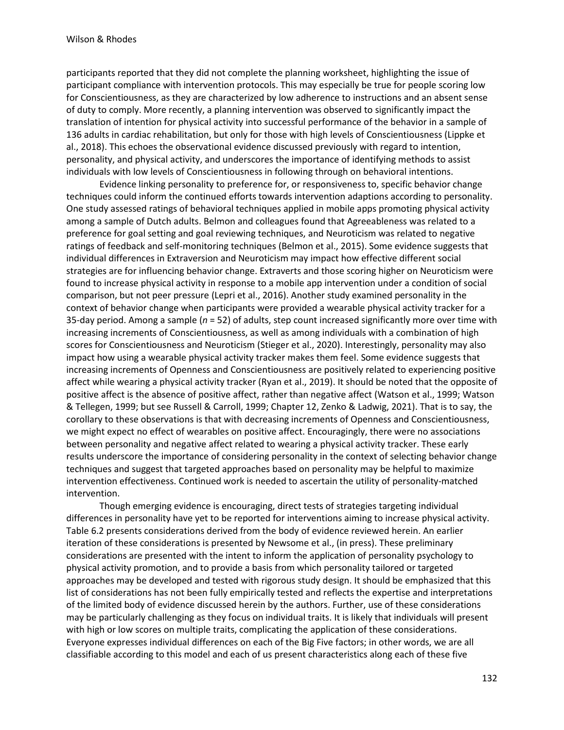participants reported that they did not complete the planning worksheet, highlighting the issue of participant compliance with intervention protocols. This may especially be true for people scoring low for Conscientiousness, as they are characterized by low adherence to instructions and an absent sense of duty to comply. More recently, a planning intervention was observed to significantly impact the translation of intention for physical activity into successful performance of the behavior in a sample of 136 adults in cardiac rehabilitation, but only for those with high levels of Conscientiousness (Lippke et al., 2018). This echoes the observational evidence discussed previously with regard to intention, personality, and physical activity, and underscores the importance of identifying methods to assist individuals with low levels of Conscientiousness in following through on behavioral intentions.

Evidence linking personality to preference for, or responsiveness to, specific behavior change techniques could inform the continued efforts towards intervention adaptions according to personality. One study assessed ratings of behavioral techniques applied in mobile apps promoting physical activity among a sample of Dutch adults. Belmon and colleagues found that Agreeableness was related to a preference for goal setting and goal reviewing techniques, and Neuroticism was related to negative ratings of feedback and self-monitoring techniques (Belmon et al., 2015). Some evidence suggests that individual differences in Extraversion and Neuroticism may impact how effective different social strategies are for influencing behavior change. Extraverts and those scoring higher on Neuroticism were found to increase physical activity in response to a mobile app intervention under a condition of social comparison, but not peer pressure (Lepri et al., 2016). Another study examined personality in the context of behavior change when participants were provided a wearable physical activity tracker for a 35-day period. Among a sample (*n* = 52) of adults, step count increased significantly more over time with increasing increments of Conscientiousness, as well as among individuals with a combination of high scores for Conscientiousness and Neuroticism (Stieger et al., 2020). Interestingly, personality may also impact how using a wearable physical activity tracker makes them feel. Some evidence suggests that increasing increments of Openness and Conscientiousness are positively related to experiencing positive affect while wearing a physical activity tracker (Ryan et al., 2019). It should be noted that the opposite of positive affect is the absence of positive affect, rather than negative affect (Watson et al., 1999; Watson & Tellegen, 1999; but see Russell & Carroll, 1999; Chapter 12, Zenko & Ladwig, 2021). That is to say, the corollary to these observations is that with decreasing increments of Openness and Conscientiousness, we might expect no effect of wearables on positive affect. Encouragingly, there were no associations between personality and negative affect related to wearing a physical activity tracker. These early results underscore the importance of considering personality in the context of selecting behavior change techniques and suggest that targeted approaches based on personality may be helpful to maximize intervention effectiveness. Continued work is needed to ascertain the utility of personality-matched intervention.

Though emerging evidence is encouraging, direct tests of strategies targeting individual differences in personality have yet to be reported for interventions aiming to increase physical activity. Table 6.2 presents considerations derived from the body of evidence reviewed herein. An earlier iteration of these considerations is presented by Newsome et al., (in press). These preliminary considerations are presented with the intent to inform the application of personality psychology to physical activity promotion, and to provide a basis from which personality tailored or targeted approaches may be developed and tested with rigorous study design. It should be emphasized that this list of considerations has not been fully empirically tested and reflects the expertise and interpretations of the limited body of evidence discussed herein by the authors. Further, use of these considerations may be particularly challenging as they focus on individual traits. It is likely that individuals will present with high or low scores on multiple traits, complicating the application of these considerations. Everyone expresses individual differences on each of the Big Five factors; in other words, we are all classifiable according to this model and each of us present characteristics along each of these five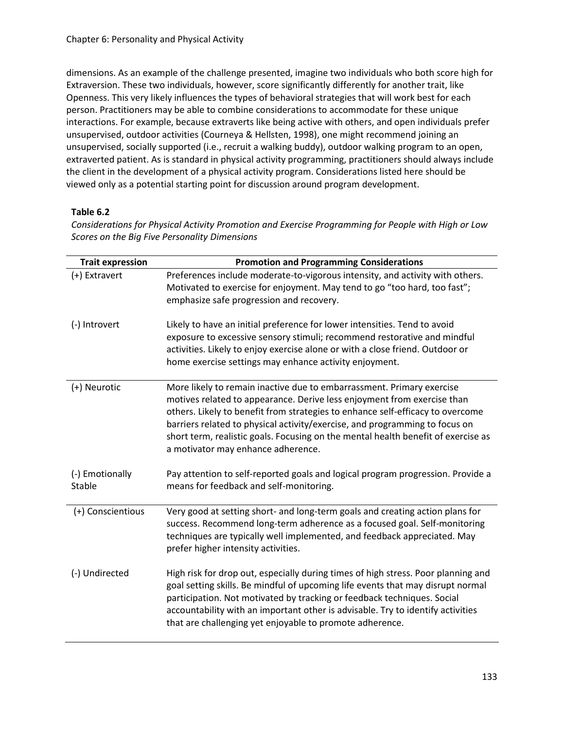dimensions. As an example of the challenge presented, imagine two individuals who both score high for Extraversion. These two individuals, however, score significantly differently for another trait, like Openness. This very likely influences the types of behavioral strategies that will work best for each person. Practitioners may be able to combine considerations to accommodate for these unique interactions. For example, because extraverts like being active with others, and open individuals prefer unsupervised, outdoor activities (Courneya & Hellsten, 1998), one might recommend joining an unsupervised, socially supported (i.e., recruit a walking buddy), outdoor walking program to an open, extraverted patient. As is standard in physical activity programming, practitioners should always include the client in the development of a physical activity program. Considerations listed here should be viewed only as a potential starting point for discussion around program development.

# **Table 6.2**

*Considerations for Physical Activity Promotion and Exercise Programming for People with High or Low Scores on the Big Five Personality Dimensions*

| <b>Trait expression</b>   | <b>Promotion and Programming Considerations</b>                                                                                                                                                                                                                                                                                                                                                                                              |
|---------------------------|----------------------------------------------------------------------------------------------------------------------------------------------------------------------------------------------------------------------------------------------------------------------------------------------------------------------------------------------------------------------------------------------------------------------------------------------|
| (+) Extravert             | Preferences include moderate-to-vigorous intensity, and activity with others.<br>Motivated to exercise for enjoyment. May tend to go "too hard, too fast";<br>emphasize safe progression and recovery.                                                                                                                                                                                                                                       |
| (-) Introvert             | Likely to have an initial preference for lower intensities. Tend to avoid<br>exposure to excessive sensory stimuli; recommend restorative and mindful<br>activities. Likely to enjoy exercise alone or with a close friend. Outdoor or<br>home exercise settings may enhance activity enjoyment.                                                                                                                                             |
| (+) Neurotic              | More likely to remain inactive due to embarrassment. Primary exercise<br>motives related to appearance. Derive less enjoyment from exercise than<br>others. Likely to benefit from strategies to enhance self-efficacy to overcome<br>barriers related to physical activity/exercise, and programming to focus on<br>short term, realistic goals. Focusing on the mental health benefit of exercise as<br>a motivator may enhance adherence. |
| (-) Emotionally<br>Stable | Pay attention to self-reported goals and logical program progression. Provide a<br>means for feedback and self-monitoring.                                                                                                                                                                                                                                                                                                                   |
| (+) Conscientious         | Very good at setting short- and long-term goals and creating action plans for<br>success. Recommend long-term adherence as a focused goal. Self-monitoring<br>techniques are typically well implemented, and feedback appreciated. May<br>prefer higher intensity activities.                                                                                                                                                                |
| (-) Undirected            | High risk for drop out, especially during times of high stress. Poor planning and<br>goal setting skills. Be mindful of upcoming life events that may disrupt normal<br>participation. Not motivated by tracking or feedback techniques. Social<br>accountability with an important other is advisable. Try to identify activities<br>that are challenging yet enjoyable to promote adherence.                                               |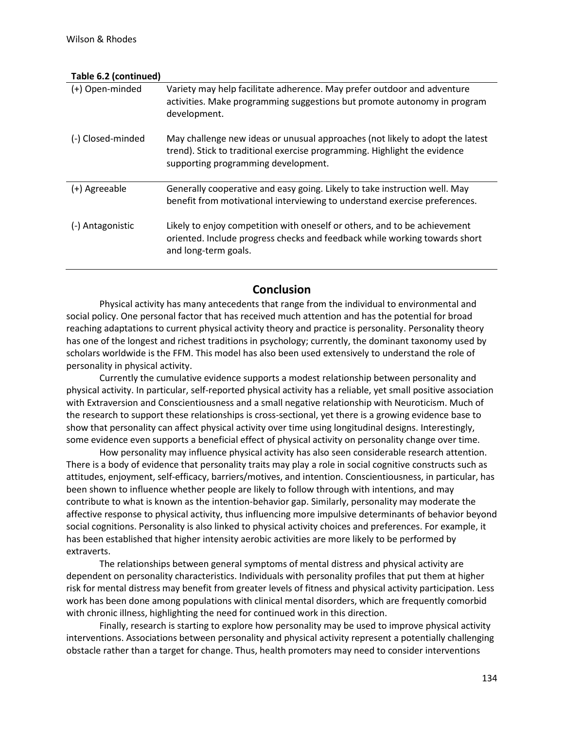#### **Table 6.2 (continued)**

| (+) Open-minded   | Variety may help facilitate adherence. May prefer outdoor and adventure<br>activities. Make programming suggestions but promote autonomy in program<br>development.                               |
|-------------------|---------------------------------------------------------------------------------------------------------------------------------------------------------------------------------------------------|
| (-) Closed-minded | May challenge new ideas or unusual approaches (not likely to adopt the latest<br>trend). Stick to traditional exercise programming. Highlight the evidence<br>supporting programming development. |
| (+) Agreeable     | Generally cooperative and easy going. Likely to take instruction well. May<br>benefit from motivational interviewing to understand exercise preferences.                                          |
| (-) Antagonistic  | Likely to enjoy competition with oneself or others, and to be achievement<br>oriented. Include progress checks and feedback while working towards short<br>and long-term goals.                   |

# **Conclusion**

Physical activity has many antecedents that range from the individual to environmental and social policy. One personal factor that has received much attention and has the potential for broad reaching adaptations to current physical activity theory and practice is personality. Personality theory has one of the longest and richest traditions in psychology; currently, the dominant taxonomy used by scholars worldwide is the FFM. This model has also been used extensively to understand the role of personality in physical activity.

Currently the cumulative evidence supports a modest relationship between personality and physical activity. In particular, self-reported physical activity has a reliable, yet small positive association with Extraversion and Conscientiousness and a small negative relationship with Neuroticism. Much of the research to support these relationships is cross-sectional, yet there is a growing evidence base to show that personality can affect physical activity over time using longitudinal designs. Interestingly, some evidence even supports a beneficial effect of physical activity on personality change over time.

How personality may influence physical activity has also seen considerable research attention. There is a body of evidence that personality traits may play a role in social cognitive constructs such as attitudes, enjoyment, self-efficacy, barriers/motives, and intention. Conscientiousness, in particular, has been shown to influence whether people are likely to follow through with intentions, and may contribute to what is known as the intention-behavior gap. Similarly, personality may moderate the affective response to physical activity, thus influencing more impulsive determinants of behavior beyond social cognitions. Personality is also linked to physical activity choices and preferences. For example, it has been established that higher intensity aerobic activities are more likely to be performed by extraverts.

The relationships between general symptoms of mental distress and physical activity are dependent on personality characteristics. Individuals with personality profiles that put them at higher risk for mental distress may benefit from greater levels of fitness and physical activity participation. Less work has been done among populations with clinical mental disorders, which are frequently comorbid with chronic illness, highlighting the need for continued work in this direction.

Finally, research is starting to explore how personality may be used to improve physical activity interventions. Associations between personality and physical activity represent a potentially challenging obstacle rather than a target for change. Thus, health promoters may need to consider interventions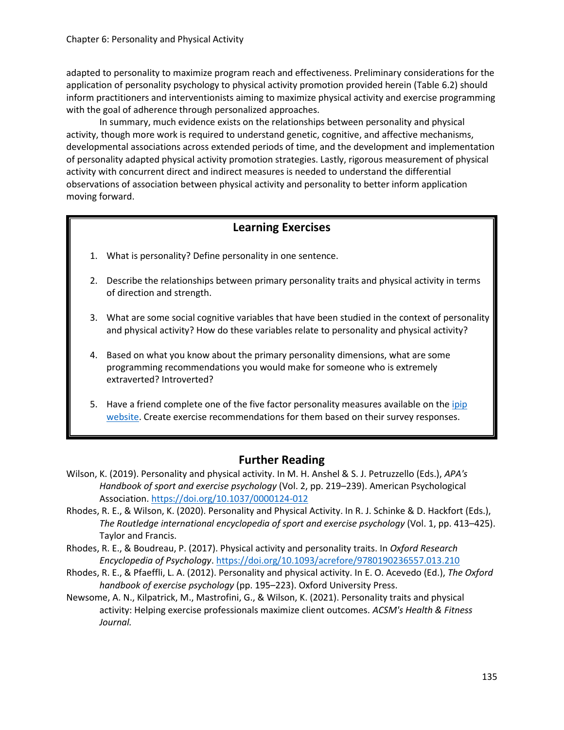adapted to personality to maximize program reach and effectiveness. Preliminary considerations for the application of personality psychology to physical activity promotion provided herein (Table 6.2) should inform practitioners and interventionists aiming to maximize physical activity and exercise programming with the goal of adherence through personalized approaches.

In summary, much evidence exists on the relationships between personality and physical activity, though more work is required to understand genetic, cognitive, and affective mechanisms, developmental associations across extended periods of time, and the development and implementation of personality adapted physical activity promotion strategies. Lastly, rigorous measurement of physical activity with concurrent direct and indirect measures is needed to understand the differential observations of association between physical activity and personality to better inform application moving forward.

# **Learning Exercises**

- 1. What is personality? Define personality in one sentence.
- 2. Describe the relationships between primary personality traits and physical activity in terms of direction and strength.
- 3. What are some social cognitive variables that have been studied in the context of personality and physical activity? How do these variables relate to personality and physical activity?
- 4. Based on what you know about the primary personality dimensions, what are some programming recommendations you would make for someone who is extremely extraverted? Introverted?
- 5. Have a friend complete one of the five factor personality measures available on the ipip [website.](https://ipip.ori.org/) Create exercise recommendations for them based on their survey responses.

### **Further Reading**

- Wilson, K. (2019). Personality and physical activity. In M. H. Anshel & S. J. Petruzzello (Eds.), *APA's Handbook of sport and exercise psychology* (Vol. 2, pp. 219–239). American Psychological Association.<https://doi.org/10.1037/0000124-012>
- Rhodes, R. E., & Wilson, K. (2020). Personality and Physical Activity. In R. J. Schinke & D. Hackfort (Eds.), *The Routledge international encyclopedia of sport and exercise psychology* (Vol. 1, pp. 413–425). Taylor and Francis.
- Rhodes, R. E., & Boudreau, P. (2017). Physical activity and personality traits. In *Oxford Research Encyclopedia of Psychology*. <https://doi.org/10.1093/acrefore/9780190236557.013.210>
- Rhodes, R. E., & Pfaeffli, L. A. (2012). Personality and physical activity. In E. O. Acevedo (Ed.), *The Oxford handbook of exercise psychology* (pp. 195–223). Oxford University Press.
- Newsome, A. N., Kilpatrick, M., Mastrofini, G., & Wilson, K. (2021). Personality traits and physical activity: Helping exercise professionals maximize client outcomes. *ACSM's Health & Fitness Journal.*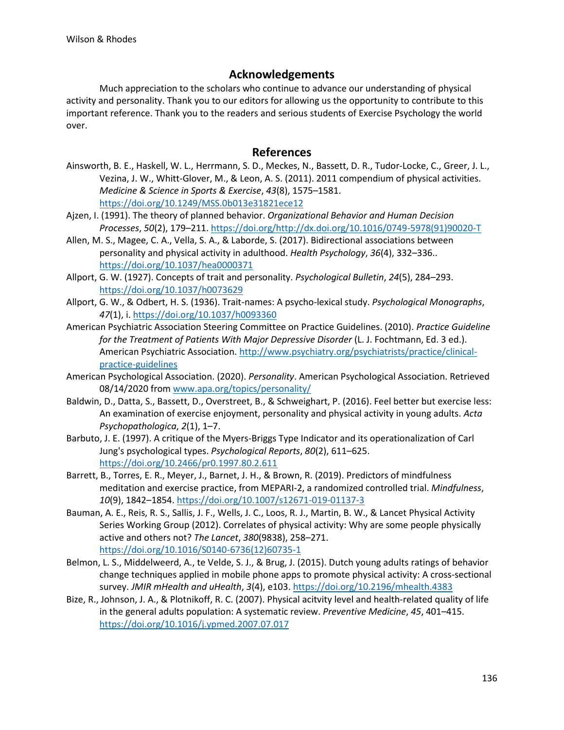# **Acknowledgements**

Much appreciation to the scholars who continue to advance our understanding of physical activity and personality. Thank you to our editors for allowing us the opportunity to contribute to this important reference. Thank you to the readers and serious students of Exercise Psychology the world over.

# **References**

- Ainsworth, B. E., Haskell, W. L., Herrmann, S. D., Meckes, N., Bassett, D. R., Tudor-Locke, C., Greer, J. L., Vezina, J. W., Whitt-Glover, M., & Leon, A. S. (2011). 2011 compendium of physical activities. *Medicine & Science in Sports & Exercise*, *43*(8), 1575–1581. <https://doi.org/10.1249/MSS.0b013e31821ece12>
- Ajzen, I. (1991). The theory of planned behavior. *Organizational Behavior and Human Decision Processes*, *50*(2), 179–211. [https://doi.org/http://dx.doi.org/10.1016/0749-5978\(91\)90020-T](https://doi.org/http:/dx.doi.org/10.1016/0749-5978(91)90020-T)
- Allen, M. S., Magee, C. A., Vella, S. A., & Laborde, S. (2017). Bidirectional associations between personality and physical activity in adulthood. *Health Psychology*, *36*(4), 332–336.. <https://doi.org/10.1037/hea0000371>
- Allport, G. W. (1927). Concepts of trait and personality. *Psychological Bulletin*, *24*(5), 284–293. <https://doi.org/10.1037/h0073629>
- Allport, G. W., & Odbert, H. S. (1936). Trait-names: A psycho-lexical study. *Psychological Monographs*, *47*(1), i. <https://doi.org/10.1037/h0093360>
- American Psychiatric Association Steering Committee on Practice Guidelines. (2010). *Practice Guideline for the Treatment of Patients With Major Depressive Disorder* (L. J. Fochtmann, Ed. 3 ed.). American Psychiatric Association. [http://www.psychiatry.org/psychiatrists/practice/clinical](http://www.psychiatry.org/psychiatrists/practice/clinical-practice-guidelines)[practice-guidelines](http://www.psychiatry.org/psychiatrists/practice/clinical-practice-guidelines)
- American Psychological Association. (2020). *Personality*. American Psychological Association. Retrieved 08/14/2020 from [www.apa.org/topics/personality/](http://www.apa.org/topics/personality/)
- Baldwin, D., Datta, S., Bassett, D., Overstreet, B., & Schweighart, P. (2016). Feel better but exercise less: An examination of exercise enjoyment, personality and physical activity in young adults. *Acta Psychopathologica*, *2*(1), 1–7.
- Barbuto, J. E. (1997). A critique of the Myers-Briggs Type Indicator and its operationalization of Carl Jung's psychological types. *Psychological Reports*, *80*(2), 611–625. <https://doi.org/10.2466/pr0.1997.80.2.611>
- Barrett, B., Torres, E. R., Meyer, J., Barnet, J. H., & Brown, R. (2019). Predictors of mindfulness meditation and exercise practice, from MEPARI-2, a randomized controlled trial. *Mindfulness*, *10*(9), 1842–1854.<https://doi.org/10.1007/s12671-019-01137-3>
- Bauman, A. E., Reis, R. S., Sallis, J. F., Wells, J. C., Loos, R. J., Martin, B. W., & Lancet Physical Activity Series Working Group (2012). Correlates of physical activity: Why are some people physically active and others not? *The Lancet*, *380*(9838), 258–271. [https://doi.org/10.1016/S0140-6736\(12\)60735-1](https://doi.org/10.1016/S0140-6736(12)60735-1)
- Belmon, L. S., Middelweerd, A., te Velde, S. J., & Brug, J. (2015). Dutch young adults ratings of behavior change techniques applied in mobile phone apps to promote physical activity: A cross-sectional survey. *JMIR mHealth and uHealth*, *3*(4), e103.<https://doi.org/10.2196/mhealth.4383>
- Bize, R., Johnson, J. A., & Plotnikoff, R. C. (2007). Physical acitvity level and health-related quality of life in the general adults population: A systematic review. *Preventive Medicine*, *45*, 401–415. <https://doi.org/10.1016/j.ypmed.2007.07.017>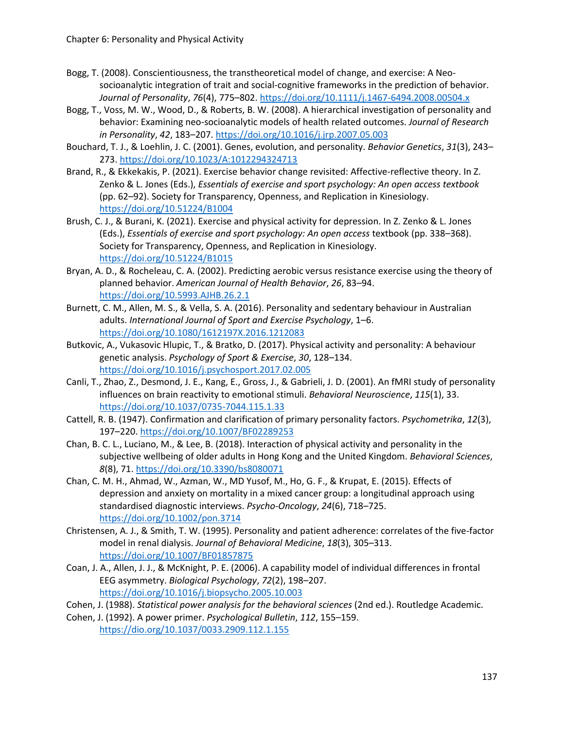- Bogg, T. (2008). Conscientiousness, the transtheoretical model of change, and exercise: A Neo‐ socioanalytic integration of trait and social‐cognitive frameworks in the prediction of behavior. *Journal of Personality*, *76*(4), 775–802.<https://doi.org/10.1111/j.1467-6494.2008.00504.x>
- Bogg, T., Voss, M. W., Wood, D., & Roberts, B. W. (2008). A hierarchical investigation of personality and behavior: Examining neo-socioanalytic models of health related outcomes. *Journal of Research in Personality*, *42*, 183–207.<https://doi.org/10.1016/j.jrp.2007.05.003>
- Bouchard, T. J., & Loehlin, J. C. (2001). Genes, evolution, and personality. *Behavior Genetics*, *31*(3), 243– 273.<https://doi.org/10.1023/A:1012294324713>
- Brand, R., & Ekkekakis, P. (2021). Exercise behavior change revisited: Affective-reflective theory. In Z. Zenko & L. Jones (Eds.), *Essentials of exercise and sport psychology: An open access textbook* (pp. 62–92). Society for Transparency, Openness, and Replication in Kinesiology. <https://doi.org/10.51224/B1004>
- Brush, C. J., & Burani, K. (2021). Exercise and physical activity for depression. In Z. Zenko & L. Jones (Eds.), *Essentials of exercise and sport psychology: An open access* textbook (pp. 338–368). Society for Transparency, Openness, and Replication in Kinesiology. <https://doi.org/10.51224/B1015>
- Bryan, A. D., & Rocheleau, C. A. (2002). Predicting aerobic versus resistance exercise using the theory of planned behavior. *American Journal of Health Behavior*, *26*, 83–94. <https://doi.org/10.5993.AJHB.26.2.1>
- Burnett, C. M., Allen, M. S., & Vella, S. A. (2016). Personality and sedentary behaviour in Australian adults. *International Journal of Sport and Exercise Psychology*, 1–6. <https://doi.org/10.1080/1612197X.2016.1212083>
- Butkovic, A., Vukasovic Hlupic, T., & Bratko, D. (2017). Physical activity and personality: A behaviour genetic analysis. *Psychology of Sport & Exercise*, *30*, 128–134. <https://doi.org/10.1016/j.psychosport.2017.02.005>
- Canli, T., Zhao, Z., Desmond, J. E., Kang, E., Gross, J., & Gabrieli, J. D. (2001). An fMRI study of personality influences on brain reactivity to emotional stimuli. *Behavioral Neuroscience*, *115*(1), 33. <https://doi.org/10.1037/0735-7044.115.1.33>
- Cattell, R. B. (1947). Confirmation and clarification of primary personality factors. *Psychometrika*, *12*(3), 197–220.<https://doi.org/10.1007/BF02289253>
- Chan, B. C. L., Luciano, M., & Lee, B. (2018). Interaction of physical activity and personality in the subjective wellbeing of older adults in Hong Kong and the United Kingdom. *Behavioral Sciences*, *8*(8), 71[. https://doi.org/10.3390/bs8080071](https://doi.org/10.3390/bs8080071)
- Chan, C. M. H., Ahmad, W., Azman, W., MD Yusof, M., Ho, G. F., & Krupat, E. (2015). Effects of depression and anxiety on mortality in a mixed cancer group: a longitudinal approach using standardised diagnostic interviews. *Psycho‐Oncology*, *24*(6), 718–725. <https://doi.org/10.1002/pon.3714>
- Christensen, A. J., & Smith, T. W. (1995). Personality and patient adherence: correlates of the five-factor model in renal dialysis. *Journal of Behavioral Medicine*, *18*(3), 305–313. <https://doi.org/10.1007/BF01857875>
- Coan, J. A., Allen, J. J., & McKnight, P. E. (2006). A capability model of individual differences in frontal EEG asymmetry. *Biological Psychology*, *72*(2), 198–207. <https://doi.org/10.1016/j.biopsycho.2005.10.003>
- Cohen, J. (1988). *Statistical power analysis for the behavioral sciences* (2nd ed.). Routledge Academic.
- Cohen, J. (1992). A power primer. *Psychological Bulletin*, *112*, 155–159. <https://dio.org/10.1037/0033.2909.112.1.155>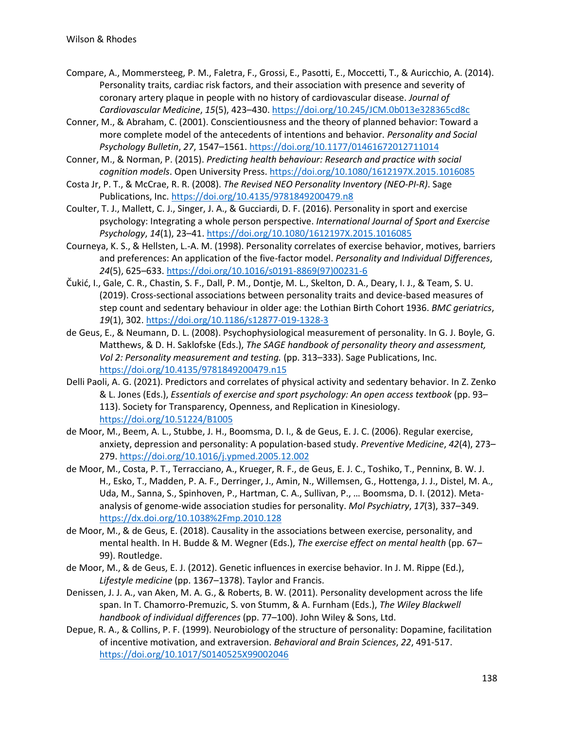- Compare, A., Mommersteeg, P. M., Faletra, F., Grossi, E., Pasotti, E., Moccetti, T., & Auricchio, A. (2014). Personality traits, cardiac risk factors, and their association with presence and severity of coronary artery plaque in people with no history of cardiovascular disease. *Journal of Cardiovascular Medicine*, *15*(5), 423–430[. https://doi.org/10.245/JCM.0b013e328365cd8c](https://doi.org/10.245/JCM.0b013e328365cd8c)
- Conner, M., & Abraham, C. (2001). Conscientiousness and the theory of planned behavior: Toward a more complete model of the antecedents of intentions and behavior. *Personality and Social Psychology Bulletin*, *27*, 1547–1561[. https://doi.org/10.1177/01461672012711014](https://doi.org/10.1177/01461672012711014)
- Conner, M., & Norman, P. (2015). *Predicting health behaviour: Research and practice with social cognition models*. Open University Press[. https://doi.org/10.1080/1612197X.2015.1016085](https://doi.org/10.1080/1612197X.2015.1016085)
- Costa Jr, P. T., & McCrae, R. R. (2008). *The Revised NEO Personality Inventory (NEO-PI-R)*. Sage Publications, Inc.<https://doi.org/10.4135/9781849200479.n8>
- Coulter, T. J., Mallett, C. J., Singer, J. A., & Gucciardi, D. F. (2016). Personality in sport and exercise psychology: Integrating a whole person perspective. *International Journal of Sport and Exercise Psychology*, *14*(1), 23–41[. https://doi.org/10.1080/1612197X.2015.1016085](https://doi.org/10.1080/1612197X.2015.1016085)
- Courneya, K. S., & Hellsten, L.-A. M. (1998). Personality correlates of exercise behavior, motives, barriers and preferences: An application of the five-factor model. *Personality and Individual Differences*, *24*(5), 625–633. [https://doi.org/10.1016/s0191-8869\(97\)00231-6](https://doi.org/10.1016/s0191-8869(97)00231-6)
- Čukić, I., Gale, C. R., Chastin, S. F., Dall, P. M., Dontje, M. L., Skelton, D. A., Deary, I. J., & Team, S. U. (2019). Cross-sectional associations between personality traits and device-based measures of step count and sedentary behaviour in older age: the Lothian Birth Cohort 1936. *BMC geriatrics*, *19*(1), 302[. https://doi.org/10.1186/s12877-019-1328-3](https://doi.org/10.1186/s12877-019-1328-3)
- de Geus, E., & Neumann, D. L. (2008). Psychophysiological measurement of personality. In G. J. Boyle, G. Matthews, & D. H. Saklofske (Eds.), *The SAGE handbook of personality theory and assessment, Vol 2: Personality measurement and testing.* (pp. 313–333). Sage Publications, Inc. <https://doi.org/10.4135/9781849200479.n15>
- Delli Paoli, A. G. (2021). Predictors and correlates of physical activity and sedentary behavior. In Z. Zenko & L. Jones (Eds.), *Essentials of exercise and sport psychology: An open access textbook* (pp. 93– 113). Society for Transparency, Openness, and Replication in Kinesiology. <https://doi.org/10.51224/B1005>
- de Moor, M., Beem, A. L., Stubbe, J. H., Boomsma, D. I., & de Geus, E. J. C. (2006). Regular exercise, anxiety, depression and personality: A population-based study. *Preventive Medicine*, *42*(4), 273– 279.<https://doi.org/10.1016/j.ypmed.2005.12.002>
- de Moor, M., Costa, P. T., Terracciano, A., Krueger, R. F., de Geus, E. J. C., Toshiko, T., Penninx, B. W. J. H., Esko, T., Madden, P. A. F., Derringer, J., Amin, N., Willemsen, G., Hottenga, J. J., Distel, M. A., Uda, M., Sanna, S., Spinhoven, P., Hartman, C. A., Sullivan, P., … Boomsma, D. I. (2012). Metaanalysis of genome-wide association studies for personality. *Mol Psychiatry*, *17*(3), 337–349. <https://dx.doi.org/10.1038%2Fmp.2010.128>
- de Moor, M., & de Geus, E. (2018). Causality in the associations between exercise, personality, and mental health. In H. Budde & M. Wegner (Eds.), *The exercise effect on mental health* (pp. 67– 99). Routledge.
- de Moor, M., & de Geus, E. J. (2012). Genetic influences in exercise behavior. In J. M. Rippe (Ed.), *Lifestyle medicine* (pp. 1367–1378). Taylor and Francis.
- Denissen, J. J. A., van Aken, M. A. G., & Roberts, B. W. (2011). Personality development across the life span. In T. Chamorro-Premuzic, S. von Stumm, & A. Furnham (Eds.), *The Wiley Blackwell handbook of individual differences* (pp. 77–100). John Wiley & Sons, Ltd.
- Depue, R. A., & Collins, P. F. (1999). Neurobiology of the structure of personality: Dopamine, facilitation of incentive motivation, and extraversion. *Behavioral and Brain Sciences*, *22*, 491-517. <https://doi.org/10.1017/S0140525X99002046>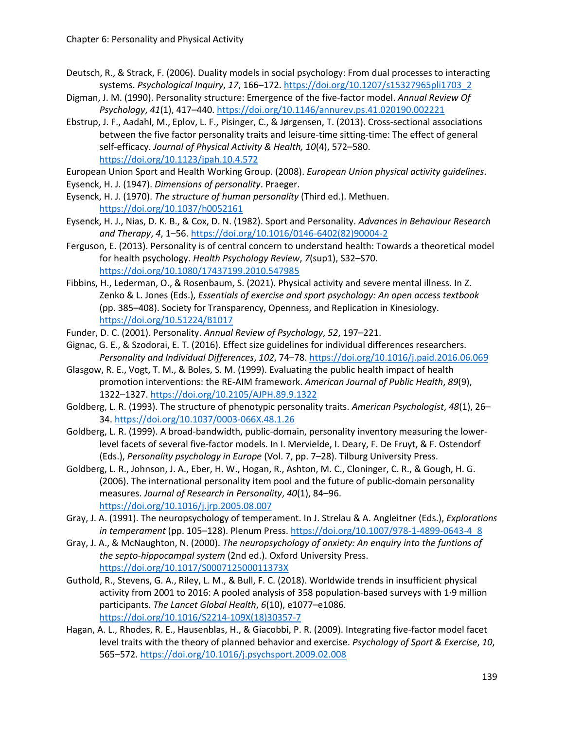- Deutsch, R., & Strack, F. (2006). Duality models in social psychology: From dual processes to interacting systems. *Psychological Inquiry*, *17*, 166–172. [https://doi.org/10.1207/s15327965pli1703\\_2](https://doi.org/10.1207/s15327965pli1703_2)
- Digman, J. M. (1990). Personality structure: Emergence of the five-factor model. *Annual Review Of Psychology*, *41*(1), 417–440[. https://doi.org/10.1146/annurev.ps.41.020190.002221](https://doi.org/10.1146/annurev.ps.41.020190.002221)
- Ebstrup, J. F., Aadahl, M., Eplov, L. F., Pisinger, C., & Jørgensen, T. (2013). Cross-sectional associations between the five factor personality traits and leisure-time sitting-time: The effect of general self-efficacy. *Journal of Physical Activity & Health, 10*(4), 572–580. <https://doi.org/10.1123/jpah.10.4.572>

European Union Sport and Health Working Group. (2008). *European Union physical activity guidelines*. Eysenck, H. J. (1947). *Dimensions of personality*. Praeger.

- Eysenck, H. J. (1970). *The structure of human personality* (Third ed.). Methuen. <https://doi.org/10.1037/h0052161>
- Eysenck, H. J., Nias, D. K. B., & Cox, D. N. (1982). Sport and Personality. *Advances in Behaviour Research and Therapy*, *4*, 1–56. [https://doi.org/10.1016/0146-6402\(82\)90004-2](https://doi.org/10.1016/0146-6402(82)90004-2)
- Ferguson, E. (2013). Personality is of central concern to understand health: Towards a theoretical model for health psychology. *Health Psychology Review*, *7*(sup1), S32–S70. <https://doi.org/10.1080/17437199.2010.547985>
- Fibbins, H., Lederman, O., & Rosenbaum, S. (2021). Physical activity and severe mental illness. In Z. Zenko & L. Jones (Eds.), *Essentials of exercise and sport psychology: An open access textbook* (pp. 385–408). Society for Transparency, Openness, and Replication in Kinesiology. <https://doi.org/10.51224/B1017>
- Funder, D. C. (2001). Personality. *Annual Review of Psychology*, *52*, 197–221.
- Gignac, G. E., & Szodorai, E. T. (2016). Effect size guidelines for individual differences researchers. *Personality and Individual Differences*, *102*, 74–78.<https://doi.org/10.1016/j.paid.2016.06.069>
- Glasgow, R. E., Vogt, T. M., & Boles, S. M. (1999). Evaluating the public health impact of health promotion interventions: the RE-AIM framework. *American Journal of Public Health*, *89*(9), 1322–1327.<https://doi.org/10.2105/AJPH.89.9.1322>
- Goldberg, L. R. (1993). The structure of phenotypic personality traits. *American Psychologist*, *48*(1), 26– 34[. https://doi.org/10.1037/0003-066X.48.1.26](https://doi.org/10.1037/0003-066X.48.1.26)
- Goldberg, L. R. (1999). A broad-bandwidth, public-domain, personality inventory measuring the lowerlevel facets of several five-factor models. In I. Mervielde, I. Deary, F. De Fruyt, & F. Ostendorf (Eds.), *Personality psychology in Europe* (Vol. 7, pp. 7–28). Tilburg University Press.
- Goldberg, L. R., Johnson, J. A., Eber, H. W., Hogan, R., Ashton, M. C., Cloninger, C. R., & Gough, H. G. (2006). The international personality item pool and the future of public-domain personality measures. *Journal of Research in Personality*, *40*(1), 84–96. <https://doi.org/10.1016/j.jrp.2005.08.007>
- Gray, J. A. (1991). The neuropsychology of temperament. In J. Strelau & A. Angleitner (Eds.), *Explorations in temperament* (pp. 105–128). Plenum Press[. https://doi.org/10.1007/978-1-4899-0643-4\\_8](https://doi.org/10.1007/978-1-4899-0643-4_8)
- Gray, J. A., & McNaughton, N. (2000). *The neuropsychology of anxiety: An enquiry into the funtions of the septo-hippocampal system* (2nd ed.). Oxford University Press. <https://doi.org/10.1017/S000712500011373X>
- Guthold, R., Stevens, G. A., Riley, L. M., & Bull, F. C. (2018). Worldwide trends in insufficient physical activity from 2001 to 2016: A pooled analysis of 358 population-based surveys with 1·9 million participants. *The Lancet Global Health*, *6*(10), e1077–e1086. [https://doi.org/10.1016/S2214-109X\(18\)30357-7](https://doi.org/10.1016/S2214-109X(18)30357-7)
- Hagan, A. L., Rhodes, R. E., Hausenblas, H., & Giacobbi, P. R. (2009). Integrating five-factor model facet level traits with the theory of planned behavior and exercise. *Psychology of Sport & Exercise*, *10*, 565–572.<https://doi.org/10.1016/j.psychsport.2009.02.008>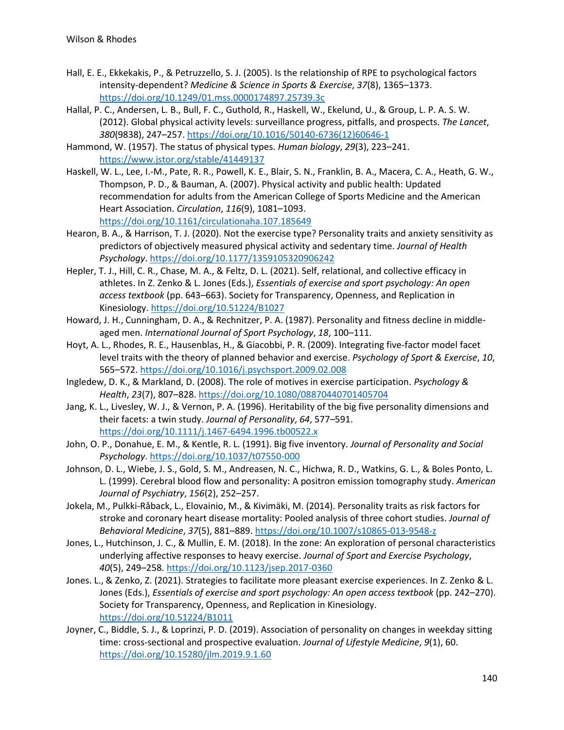- Hall, E. E., Ekkekakis, P., & Petruzzello, S. J. (2005). Is the relationship of RPE to psychological factors intensity-dependent? *Medicine & Science in Sports & Exercise*, *37*(8), 1365–1373. <https://doi.org/10.1249/01.mss.0000174897.25739.3c>
- Hallal, P. C., Andersen, L. B., Bull, F. C., Guthold, R., Haskell, W., Ekelund, U., & Group, L. P. A. S. W. (2012). Global physical activity levels: surveillance progress, pitfalls, and prospects. *The Lancet*, *380*(9838), 247–257. [https://doi.org/10.1016/50140-6736\(12\)60646-1](https://doi.org/10.1016/50140-6736(12)60646-1)
- Hammond, W. (1957). The status of physical types. *Human biology*, *29*(3), 223–241. <https://www.jstor.org/stable/41449137>
- Haskell, W. L., Lee, I.-M., Pate, R. R., Powell, K. E., Blair, S. N., Franklin, B. A., Macera, C. A., Heath, G. W., Thompson, P. D., & Bauman, A. (2007). Physical activity and public health: Updated recommendation for adults from the American College of Sports Medicine and the American Heart Association. *Circulation*, *116*(9), 1081–1093. <https://doi.org/10.1161/circulationaha.107.185649>
- Hearon, B. A., & Harrison, T. J. (2020). Not the exercise type? Personality traits and anxiety sensitivity as predictors of objectively measured physical activity and sedentary time. *Journal of Health Psychology*. <https://doi.org/10.1177/1359105320906242>
- Hepler, T. J., Hill, C. R., Chase, M. A., & Feltz, D. L. (2021). Self, relational, and collective efficacy in athletes. In Z. Zenko & L. Jones (Eds.), *Essentials of exercise and sport psychology: An open access textbook* (pp. 643–663). Society for Transparency, Openness, and Replication in Kinesiology.<https://doi.org/10.51224/B1027>
- Howard, J. H., Cunningham, D. A., & Rechnitzer, P. A. (1987). Personality and fitness decline in middleaged men. *International Journal of Sport Psychology*, *18*, 100–111.
- Hoyt, A. L., Rhodes, R. E., Hausenblas, H., & Giacobbi, P. R. (2009). Integrating five-factor model facet level traits with the theory of planned behavior and exercise. *Psychology of Sport & Exercise*, *10*, 565–572.<https://doi.org/10.1016/j.psychsport.2009.02.008>
- Ingledew, D. K., & Markland, D. (2008). The role of motives in exercise participation. *Psychology & Health*, *23*(7), 807–828[. https://doi.org/10.1080/08870440701405704](https://doi.org/10.1080/08870440701405704)
- Jang, K. L., Livesley, W. J., & Vernon, P. A. (1996). Heritability of the big five personality dimensions and their facets: a twin study. *Journal of Personality*, *64*, 577–591. <https://doi.org/10.1111/j.1467-6494.1996.tb00522.x>
- John, O. P., Donahue, E. M., & Kentle, R. L. (1991). Big five inventory. *Journal of Personality and Social Psychology*.<https://doi.org/10.1037/t07550-000>
- Johnson, D. L., Wiebe, J. S., Gold, S. M., Andreasen, N. C., Hichwa, R. D., Watkins, G. L., & Boles Ponto, L. L. (1999). Cerebral blood flow and personality: A positron emission tomography study. *American Journal of Psychiatry*, *156*(2), 252–257.
- Jokela, M., Pulkki-Råback, L., Elovainio, M., & Kivimäki, M. (2014). Personality traits as risk factors for stroke and coronary heart disease mortality: Pooled analysis of three cohort studies. *Journal of Behavioral Medicine*, *37*(5), 881–889.<https://doi.org/10.1007/s10865-013-9548-z>
- Jones, L., Hutchinson, J. C., & Mullin, E. M. (2018). In the zone: An exploration of personal characteristics underlying affective responses to heavy exercise. *Journal of Sport and Exercise Psychology*, *40*(5), 249–258.<https://doi.org/10.1123/jsep.2017-0360>
- Jones. L., & Zenko, Z. (2021). Strategies to facilitate more pleasant exercise experiences. In Z. Zenko & L. Jones (Eds.), *Essentials of exercise and sport psychology: An open access textbook* (pp. 242–270). Society for Transparency, Openness, and Replication in Kinesiology. <https://doi.org/10.51224/B1011>
- Joyner, C., Biddle, S. J., & Loprinzi, P. D. (2019). Association of personality on changes in weekday sitting time: cross-sectional and prospective evaluation. *Journal of Lifestyle Medicine*, *9*(1), 60. <https://doi.org/10.15280/jlm.2019.9.1.60>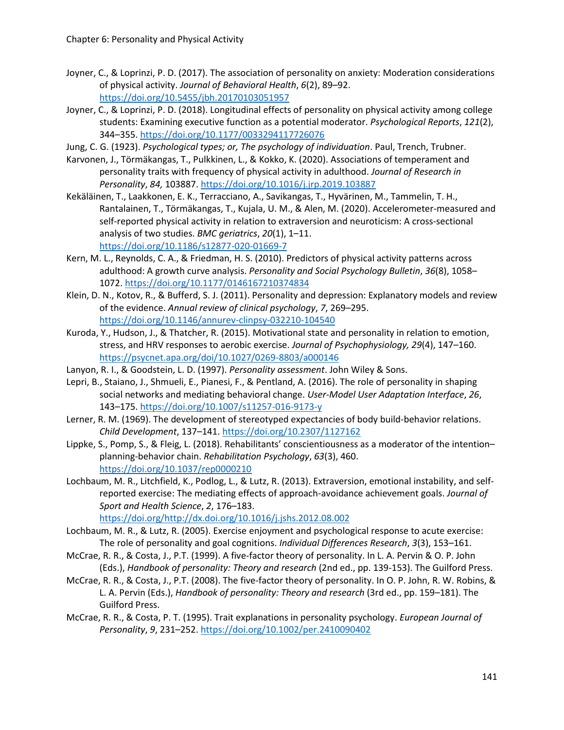- Joyner, C., & Loprinzi, P. D. (2017). The association of personality on anxiety: Moderation considerations of physical activity. *Journal of Behavioral Health*, *6*(2), 89–92. <https://doi.org/10.5455/jbh.20170103051957>
- Joyner, C., & Loprinzi, P. D. (2018). Longitudinal effects of personality on physical activity among college students: Examining executive function as a potential moderator. *Psychological Reports*, *121*(2), 344–355.<https://doi.org/10.1177/0033294117726076>
- Jung, C. G. (1923). *Psychological types; or, The psychology of individuation*. Paul, Trench, Trubner.
- Karvonen, J., Törmäkangas, T., Pulkkinen, L., & Kokko, K. (2020). Associations of temperament and personality traits with frequency of physical activity in adulthood. *Journal of Research in Personality*, *84,* 103887. <https://doi.org/10.1016/j.jrp.2019.103887>
- Kekäläinen, T., Laakkonen, E. K., Terracciano, A., Savikangas, T., Hyvärinen, M., Tammelin, T. H., Rantalainen, T., Törmäkangas, T., Kujala, U. M., & Alen, M. (2020). Accelerometer-measured and self-reported physical activity in relation to extraversion and neuroticism: A cross-sectional analysis of two studies. *BMC geriatrics*, *20*(1), 1–11. <https://doi.org/10.1186/s12877-020-01669-7>
- Kern, M. L., Reynolds, C. A., & Friedman, H. S. (2010). Predictors of physical activity patterns across adulthood: A growth curve analysis. *Personality and Social Psychology Bulletin*, *36*(8), 1058– 1072[. https://doi.org/10.1177/0146167210374834](https://doi.org/10.1177/0146167210374834)
- Klein, D. N., Kotov, R., & Bufferd, S. J. (2011). Personality and depression: Explanatory models and review of the evidence. *Annual review of clinical psychology*, *7*, 269–295. <https://doi.org/10.1146/annurev-clinpsy-032210-104540>
- Kuroda, Y., Hudson, J., & Thatcher, R. (2015). Motivational state and personality in relation to emotion, stress, and HRV responses to aerobic exercise. *Journal of Psychophysiology, 29*(4), 147–160. <https://psycnet.apa.org/doi/10.1027/0269-8803/a000146>
- Lanyon, R. I., & Goodstein, L. D. (1997). *Personality assessment*. John Wiley & Sons.
- Lepri, B., Staiano, J., Shmueli, E., Pianesi, F., & Pentland, A. (2016). The role of personality in shaping social networks and mediating behavioral change. *User-Model User Adaptation Interface*, *26*, 143–175.<https://doi.org/10.1007/s11257-016-9173-y>
- Lerner, R. M. (1969). The development of stereotyped expectancies of body build-behavior relations. *Child Development*, 137–141.<https://doi.org/10.2307/1127162>
- Lippke, S., Pomp, S., & Fleig, L. (2018). Rehabilitants' conscientiousness as a moderator of the intention– planning-behavior chain. *Rehabilitation Psychology*, *63*(3), 460. <https://doi.org/10.1037/rep0000210>
- Lochbaum, M. R., Litchfield, K., Podlog, L., & Lutz, R. (2013). Extraversion, emotional instability, and selfreported exercise: The mediating effects of approach-avoidance achievement goals. *Journal of Sport and Health Science*, *2*, 176–183. [https://doi.org/http://dx.doi.org/10.1016/j.jshs.2012.08.002](https://doi.org/http:/dx.doi.org/10.1016/j.jshs.2012.08.002)
- Lochbaum, M. R., & Lutz, R. (2005). Exercise enjoyment and psychological response to acute exercise: The role of personality and goal cognitions. *Individual Differences Research*, *3*(3), 153–161.
- McCrae, R. R., & Costa, J., P.T. (1999). A five-factor theory of personality. In L. A. Pervin & O. P. John (Eds.), *Handbook of personality: Theory and research* (2nd ed., pp. 139-153). The Guilford Press.
- McCrae, R. R., & Costa, J., P.T. (2008). The five-factor theory of personality. In O. P. John, R. W. Robins, & L. A. Pervin (Eds.), *Handbook of personality: Theory and research* (3rd ed., pp. 159–181). The Guilford Press.
- McCrae, R. R., & Costa, P. T. (1995). Trait explanations in personality psychology. *European Journal of Personality*, *9*, 231–252.<https://doi.org/10.1002/per.2410090402>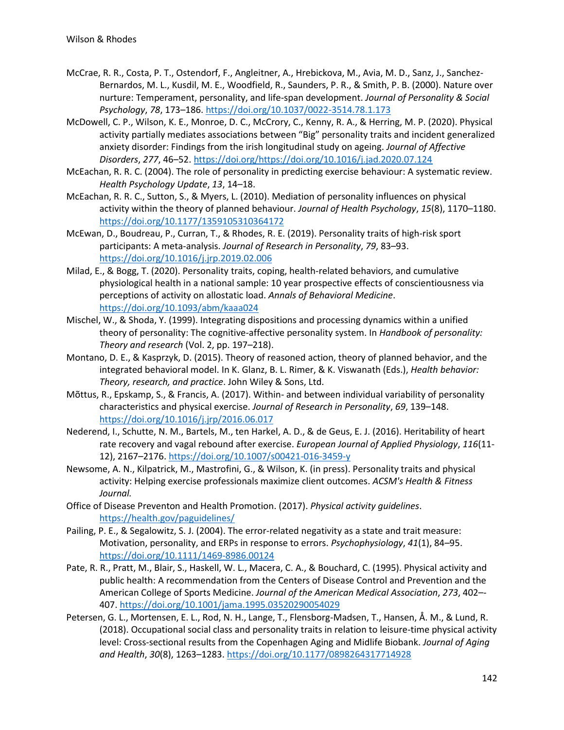- McCrae, R. R., Costa, P. T., Ostendorf, F., Angleitner, A., Hrebickova, M., Avia, M. D., Sanz, J., Sanchez-Bernardos, M. L., Kusdil, M. E., Woodfield, R., Saunders, P. R., & Smith, P. B. (2000). Nature over nurture: Temperament, personality, and life-span development. *Journal of Personality & Social Psychology*, *78*, 173–186.<https://doi.org/10.1037/0022-3514.78.1.173>
- McDowell, C. P., Wilson, K. E., Monroe, D. C., McCrory, C., Kenny, R. A., & Herring, M. P. (2020). Physical activity partially mediates associations between "Big" personality traits and incident generalized anxiety disorder: Findings from the irish longitudinal study on ageing. *Journal of Affective Disorders*, *277*, 46–52. [https://doi.org/https://doi.org/10.1016/j.jad.2020.07.124](https://doi.org/https:/doi.org/10.1016/j.jad.2020.07.124)
- McEachan, R. R. C. (2004). The role of personality in predicting exercise behaviour: A systematic review. *Health Psychology Update*, *13*, 14–18.
- McEachan, R. R. C., Sutton, S., & Myers, L. (2010). Mediation of personality influences on physical activity within the theory of planned behaviour. *Journal of Health Psychology*, *15*(8), 1170–1180. <https://doi.org/10.1177/1359105310364172>
- McEwan, D., Boudreau, P., Curran, T., & Rhodes, R. E. (2019). Personality traits of high-risk sport participants: A meta-analysis. *Journal of Research in Personality*, *79*, 83–93. <https://doi.org/10.1016/j.jrp.2019.02.006>
- Milad, E., & Bogg, T. (2020). Personality traits, coping, health-related behaviors, and cumulative physiological health in a national sample: 10 year prospective effects of conscientiousness via perceptions of activity on allostatic load. *Annals of Behavioral Medicine*. <https://doi.org/10.1093/abm/kaaa024>
- Mischel, W., & Shoda, Y. (1999). Integrating dispositions and processing dynamics within a unified theory of personality: The cognitive-affective personality system. In *Handbook of personality: Theory and research* (Vol. 2, pp. 197–218).
- Montano, D. E., & Kasprzyk, D. (2015). Theory of reasoned action, theory of planned behavior, and the integrated behavioral model. In K. Glanz, B. L. Rimer, & K. Viswanath (Eds.), *Health behavior: Theory, research, and practice*. John Wiley & Sons, Ltd.
- Mõttus, R., Epskamp, S., & Francis, A. (2017). Within- and between individual variability of personality characteristics and physical exercise. *Journal of Research in Personality*, *69*, 139–148. <https://doi.org/10.1016/j.jrp/2016.06.017>
- Nederend, I., Schutte, N. M., Bartels, M., ten Harkel, A. D., & de Geus, E. J. (2016). Heritability of heart rate recovery and vagal rebound after exercise. *European Journal of Applied Physiology*, *116*(11- 12), 2167–2176.<https://doi.org/10.1007/s00421-016-3459-y>
- Newsome, A. N., Kilpatrick, M., Mastrofini, G., & Wilson, K. (in press). Personality traits and physical activity: Helping exercise professionals maximize client outcomes. *ACSM's Health & Fitness Journal.*
- Office of Disease Preventon and Health Promotion. (2017). *Physical activity guidelines*. <https://health.gov/paguidelines/>
- Pailing, P. E., & Segalowitz, S. J. (2004). The error-related negativity as a state and trait measure: Motivation, personality, and ERPs in response to errors. *Psychophysiology*, *41*(1), 84–95. <https://doi.org/10.1111/1469-8986.00124>
- Pate, R. R., Pratt, M., Blair, S., Haskell, W. L., Macera, C. A., & Bouchard, C. (1995). Physical activity and public health: A recommendation from the Centers of Disease Control and Prevention and the American College of Sports Medicine. *Journal of the American Medical Association*, *273*, 402–- 407.<https://doi.org/10.1001/jama.1995.03520290054029>
- Petersen, G. L., Mortensen, E. L., Rod, N. H., Lange, T., Flensborg-Madsen, T., Hansen, Å. M., & Lund, R. (2018). Occupational social class and personality traits in relation to leisure-time physical activity level: Cross-sectional results from the Copenhagen Aging and Midlife Biobank. *Journal of Aging and Health*, *30*(8), 1263–1283[. https://doi.org/10.1177/0898264317714928](https://doi.org/10.1177/0898264317714928)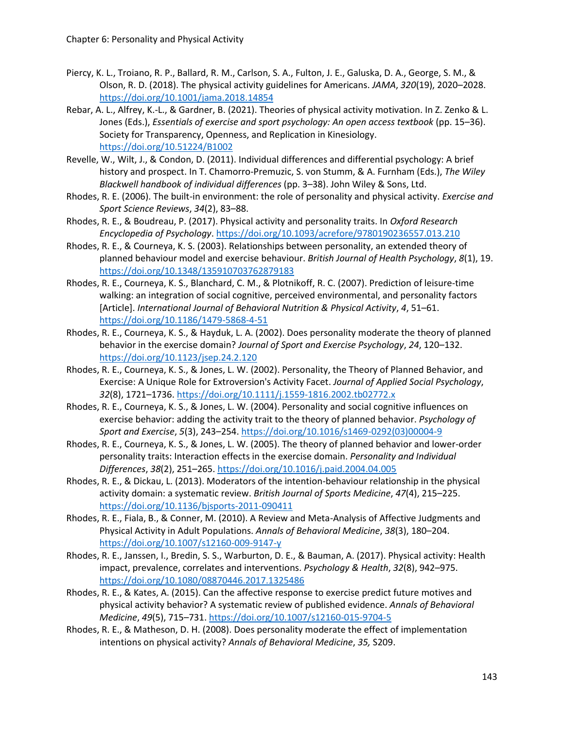- Piercy, K. L., Troiano, R. P., Ballard, R. M., Carlson, S. A., Fulton, J. E., Galuska, D. A., George, S. M., & Olson, R. D. (2018). The physical activity guidelines for Americans. *JAMA*, *320*(19), 2020–2028. <https://doi.org/10.1001/jama.2018.14854>
- Rebar, A. L., Alfrey, K.-L., & Gardner, B. (2021). Theories of physical activity motivation. In Z. Zenko & L. Jones (Eds.), *Essentials of exercise and sport psychology: An open access textbook* (pp. 15–36). Society for Transparency, Openness, and Replication in Kinesiology. <https://doi.org/10.51224/B1002>
- Revelle, W., Wilt, J., & Condon, D. (2011). Individual differences and differential psychology: A brief history and prospect. In T. Chamorro-Premuzic, S. von Stumm, & A. Furnham (Eds.), *The Wiley Blackwell handbook of individual differences* (pp. 3–38). John Wiley & Sons, Ltd.
- Rhodes, R. E. (2006). The built-in environment: the role of personality and physical activity. *Exercise and Sport Science Reviews*, *34*(2), 83–88.
- Rhodes, R. E., & Boudreau, P. (2017). Physical activity and personality traits. In *Oxford Research Encyclopedia of Psychology*.<https://doi.org/10.1093/acrefore/9780190236557.013.210>
- Rhodes, R. E., & Courneya, K. S. (2003). Relationships between personality, an extended theory of planned behaviour model and exercise behaviour. *British Journal of Health Psychology*, *8*(1), 19. <https://doi.org/10.1348/135910703762879183>
- Rhodes, R. E., Courneya, K. S., Blanchard, C. M., & Plotnikoff, R. C. (2007). Prediction of leisure-time walking: an integration of social cognitive, perceived environmental, and personality factors [Article]. *International Journal of Behavioral Nutrition & Physical Activity*, *4*, 51–61. <https://doi.org/10.1186/1479-5868-4-51>
- Rhodes, R. E., Courneya, K. S., & Hayduk, L. A. (2002). Does personality moderate the theory of planned behavior in the exercise domain? *Journal of Sport and Exercise Psychology*, *24*, 120–132. <https://doi.org/10.1123/jsep.24.2.120>
- Rhodes, R. E., Courneya, K. S., & Jones, L. W. (2002). Personality, the Theory of Planned Behavior, and Exercise: A Unique Role for Extroversion's Activity Facet. *Journal of Applied Social Psychology*, *32*(8), 1721–1736.<https://doi.org/10.1111/j.1559-1816.2002.tb02772.x>
- Rhodes, R. E., Courneya, K. S., & Jones, L. W. (2004). Personality and social cognitive influences on exercise behavior: adding the activity trait to the theory of planned behavior. *Psychology of Sport and Exercise*, *5*(3), 243–254. [https://doi.org/10.1016/s1469-0292\(03\)00004-9](https://doi.org/10.1016/s1469-0292(03)00004-9)
- Rhodes, R. E., Courneya, K. S., & Jones, L. W. (2005). The theory of planned behavior and lower-order personality traits: Interaction effects in the exercise domain. *Personality and Individual Differences*, *38*(2), 251–265.<https://doi.org/10.1016/j.paid.2004.04.005>
- Rhodes, R. E., & Dickau, L. (2013). Moderators of the intention-behaviour relationship in the physical activity domain: a systematic review. *British Journal of Sports Medicine*, *47*(4), 215–225. <https://doi.org/10.1136/bjsports-2011-090411>
- Rhodes, R. E., Fiala, B., & Conner, M. (2010). A Review and Meta-Analysis of Affective Judgments and Physical Activity in Adult Populations. *Annals of Behavioral Medicine*, *38*(3), 180–204. <https://doi.org/10.1007/s12160-009-9147-y>
- Rhodes, R. E., Janssen, I., Bredin, S. S., Warburton, D. E., & Bauman, A. (2017). Physical activity: Health impact, prevalence, correlates and interventions. *Psychology & Health*, *32*(8), 942–975. <https://doi.org/10.1080/08870446.2017.1325486>
- Rhodes, R. E., & Kates, A. (2015). Can the affective response to exercise predict future motives and physical activity behavior? A systematic review of published evidence. *Annals of Behavioral Medicine*, *49*(5), 715–731.<https://doi.org/10.1007/s12160-015-9704-5>
- Rhodes, R. E., & Matheson, D. H. (2008). Does personality moderate the effect of implementation intentions on physical activity? *Annals of Behavioral Medicine*, *35,* S209.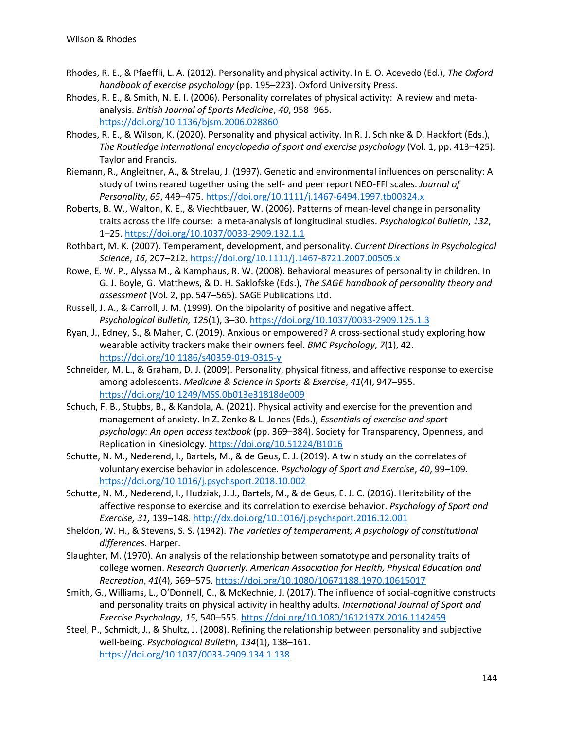- Rhodes, R. E., & Pfaeffli, L. A. (2012). Personality and physical activity. In E. O. Acevedo (Ed.), *The Oxford handbook of exercise psychology* (pp. 195–223). Oxford University Press.
- Rhodes, R. E., & Smith, N. E. I. (2006). Personality correlates of physical activity: A review and metaanalysis. *British Journal of Sports Medicine*, *40*, 958–965. <https://doi.org/10.1136/bjsm.2006.028860>
- Rhodes, R. E., & Wilson, K. (2020). Personality and physical activity. In R. J. Schinke & D. Hackfort (Eds.), *The Routledge international encyclopedia of sport and exercise psychology* (Vol. 1, pp. 413–425). Taylor and Francis.
- Riemann, R., Angleitner, A., & Strelau, J. (1997). Genetic and environmental influences on personality: A study of twins reared together using the self- and peer report NEO-FFI scales. *Journal of Personality*, *65*, 449–475[. https://doi.org/10.1111/j.1467-6494.1997.tb00324.x](https://doi.org/10.1111/j.1467-6494.1997.tb00324.x)
- Roberts, B. W., Walton, K. E., & Viechtbauer, W. (2006). Patterns of mean-level change in personality traits across the life course: a meta-analysis of longitudinal studies. *Psychological Bulletin*, *132*, 1–25[. https://doi.org/10.1037/0033-2909.132.1.1](https://doi.org/10.1037/0033-2909.132.1.1)
- Rothbart, M. K. (2007). Temperament, development, and personality. *Current Directions in Psychological Science*, *16*, 207–212[. https://doi.org/10.1111/j.1467-8721.2007.00505.x](https://doi.org/10.1111/j.1467-8721.2007.00505.x)
- Rowe, E. W. P., Alyssa M., & Kamphaus, R. W. (2008). Behavioral measures of personality in children. In G. J. Boyle, G. Matthews, & D. H. Saklofske (Eds.), *The SAGE handbook of personality theory and assessment* (Vol. 2, pp. 547–565). SAGE Publications Ltd.
- Russell, J. A., & Carroll, J. M. (1999). On the bipolarity of positive and negative affect. *Psychological Bulletin, 125*(1), 3–30.<https://doi.org/10.1037/0033-2909.125.1.3>
- Ryan, J., Edney, S., & Maher, C. (2019). Anxious or empowered? A cross-sectional study exploring how wearable activity trackers make their owners feel. *BMC Psychology*, *7*(1), 42. <https://doi.org/10.1186/s40359-019-0315-y>
- Schneider, M. L., & Graham, D. J. (2009). Personality, physical fitness, and affective response to exercise among adolescents. *Medicine & Science in Sports & Exercise*, *41*(4), 947–955. <https://doi.org/10.1249/MSS.0b013e31818de009>
- Schuch, F. B., Stubbs, B., & Kandola, A. (2021). Physical activity and exercise for the prevention and management of anxiety. In Z. Zenko & L. Jones (Eds.), *Essentials of exercise and sport psychology: An open access textbook* (pp. 369–384). Society for Transparency, Openness, and Replication in Kinesiology.<https://doi.org/10.51224/B1016>
- Schutte, N. M., Nederend, I., Bartels, M., & de Geus, E. J. (2019). A twin study on the correlates of voluntary exercise behavior in adolescence. *Psychology of Sport and Exercise*, *40*, 99–109. <https://doi.org/10.1016/j.psychsport.2018.10.002>
- Schutte, N. M., Nederend, I., Hudziak, J. J., Bartels, M., & de Geus, E. J. C. (2016). Heritability of the affective response to exercise and its correlation to exercise behavior. *Psychology of Sport and Exercise, 31,* 139–148[. http://dx.doi.org/10.1016/j.psychsport.2016.12.001](https://doi.org/http:/dx.doi.org/10.1016/j.psychsport.2016.12.001)
- Sheldon, W. H., & Stevens, S. S. (1942). *The varieties of temperament; A psychology of constitutional differences.* Harper.
- Slaughter, M. (1970). An analysis of the relationship between somatotype and personality traits of college women. *Research Quarterly. American Association for Health, Physical Education and Recreation*, *41*(4), 569–575.<https://doi.org/10.1080/10671188.1970.10615017>
- Smith, G., Williams, L., O'Donnell, C., & McKechnie, J. (2017). The influence of social-cognitive constructs and personality traits on physical activity in healthy adults. *International Journal of Sport and Exercise Psychology*, *15*, 540–555[. https://doi.org/10.1080/1612197X.2016.1142459](https://doi.org/10.1080/1612197X.2016.1142459)
- Steel, P., Schmidt, J., & Shultz, J. (2008). Refining the relationship between personality and subjective well-being. *Psychological Bulletin*, *134*(1), 138–161. <https://doi.org/10.1037/0033-2909.134.1.138>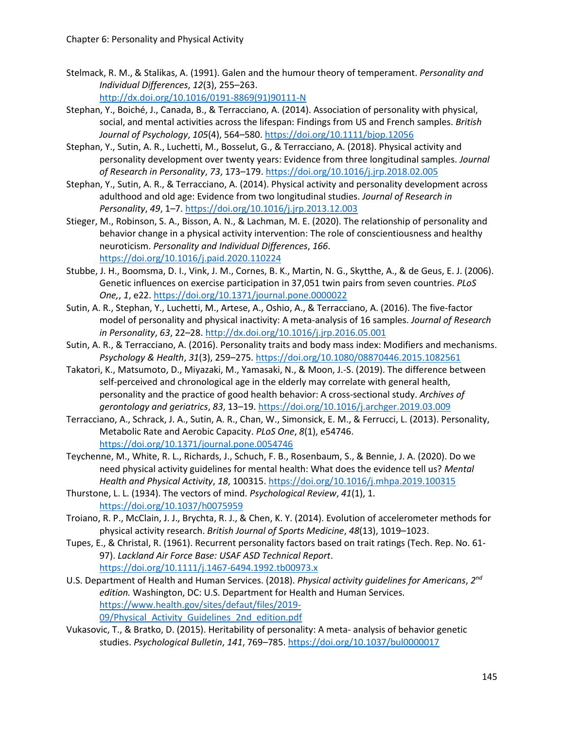- Stelmack, R. M., & Stalikas, A. (1991). Galen and the humour theory of temperament. *Personality and Individual Differences*, *12*(3), 255–263. [http://dx.doi.org/10.1016/0191-8869\(91\)90111-N](http://dx.doi.org/10.1016/0191-8869(91)90111-N)
- Stephan, Y., Boiché, J., Canada, B., & Terracciano, A. (2014). Association of personality with physical, social, and mental activities across the lifespan: Findings from US and French samples. *British Journal of Psychology*, *105*(4), 564–580[. https://doi.org/10.1111/bjop.12056](https://doi.org/10.1111/bjop.12056)
- Stephan, Y., Sutin, A. R., Luchetti, M., Bosselut, G., & Terracciano, A. (2018). Physical activity and personality development over twenty years: Evidence from three longitudinal samples. *Journal of Research in Personality*, *73*, 173–179[. https://doi.org/10.1016/j.jrp.2018.02.005](https://doi.org/10.1016/j.jrp.2018.02.005)
- Stephan, Y., Sutin, A. R., & Terracciano, A. (2014). Physical activity and personality development across adulthood and old age: Evidence from two longitudinal studies. *Journal of Research in Personality*, *49*, 1–7.<https://doi.org/10.1016/j.jrp.2013.12.003>
- Stieger, M., Robinson, S. A., Bisson, A. N., & Lachman, M. E. (2020). The relationship of personality and behavior change in a physical activity intervention: The role of conscientiousness and healthy neuroticism. *Personality and Individual Differences*, *166*. <https://doi.org/10.1016/j.paid.2020.110224>
- Stubbe, J. H., Boomsma, D. I., Vink, J. M., Cornes, B. K., Martin, N. G., Skytthe, A., & de Geus, E. J. (2006). Genetic influences on exercise participation in 37,051 twin pairs from seven countries. *PLoS One,*, *1*, e22.<https://doi.org/10.1371/journal.pone.0000022>
- Sutin, A. R., Stephan, Y., Luchetti, M., Artese, A., Oshio, A., & Terracciano, A. (2016). The five-factor model of personality and physical inactivity: A meta-analysis of 16 samples. *Journal of Research in Personality*, *63*, 22–28. [http://dx.doi.org/10.1016/j.jrp.2016.05.001](https://doi.org/http:/dx.doi.org/10.1016/j.jrp.2016.05.001)
- Sutin, A. R., & Terracciano, A. (2016). Personality traits and body mass index: Modifiers and mechanisms. *Psychology & Health*, *31*(3), 259–275[. https://doi.org/10.1080/08870446.2015.1082561](https://doi.org/10.1080/08870446.2015.1082561)
- Takatori, K., Matsumoto, D., Miyazaki, M., Yamasaki, N., & Moon, J.-S. (2019). The difference between self-perceived and chronological age in the elderly may correlate with general health, personality and the practice of good health behavior: A cross-sectional study. *Archives of gerontology and geriatrics*, *83*, 13–19[. https://doi.org/10.1016/j.archger.2019.03.009](https://doi.org/10.1016/j.archger.2019.03.009)
- Terracciano, A., Schrack, J. A., Sutin, A. R., Chan, W., Simonsick, E. M., & Ferrucci, L. (2013). Personality, Metabolic Rate and Aerobic Capacity. *PLoS One*, *8*(1), e54746. <https://doi.org/10.1371/journal.pone.0054746>
- Teychenne, M., White, R. L., Richards, J., Schuch, F. B., Rosenbaum, S., & Bennie, J. A. (2020). Do we need physical activity guidelines for mental health: What does the evidence tell us? *Mental Health and Physical Activity*, *18*, 100315[. https://doi.org/10.1016/j.mhpa.2019.100315](https://doi.org/https:/doi.org/10.1016/j.mhpa.2019.100315)
- Thurstone, L. L. (1934). The vectors of mind. *Psychological Review*, *41*(1), 1. <https://doi.org/10.1037/h0075959>
- Troiano, R. P., McClain, J. J., Brychta, R. J., & Chen, K. Y. (2014). Evolution of accelerometer methods for physical activity research. *British Journal of Sports Medicine*, *48*(13), 1019–1023.
- Tupes, E., & Christal, R. (1961). Recurrent personality factors based on trait ratings (Tech. Rep. No. 61- 97). *Lackland Air Force Base: USAF ASD Technical Report*. <https://doi.org/10.1111/j.1467-6494.1992.tb00973.x>
- U.S. Department of Health and Human Services. (2018). *Physical activity guidelines for Americans, 2<sup>nd</sup> edition.* Washington, DC: U.S. Department for Health and Human Services. [https://www.health.gov/sites/defaut/files/2019-](https://www.health.gov/sites/defaut/files/2019-09/Physical_Activity_Guidelines_2nd_edition.pdf) [09/Physical\\_Activity\\_Guidelines\\_2nd\\_edition.pdf](https://www.health.gov/sites/defaut/files/2019-09/Physical_Activity_Guidelines_2nd_edition.pdf)
- Vukasovic, T., & Bratko, D. (2015). Heritability of personality: A meta- analysis of behavior genetic studies. *Psychological Bulletin*, *141*, 769–785[. https://doi.org/10.1037/bul0000017](https://doi.org/10.1037/bul0000017)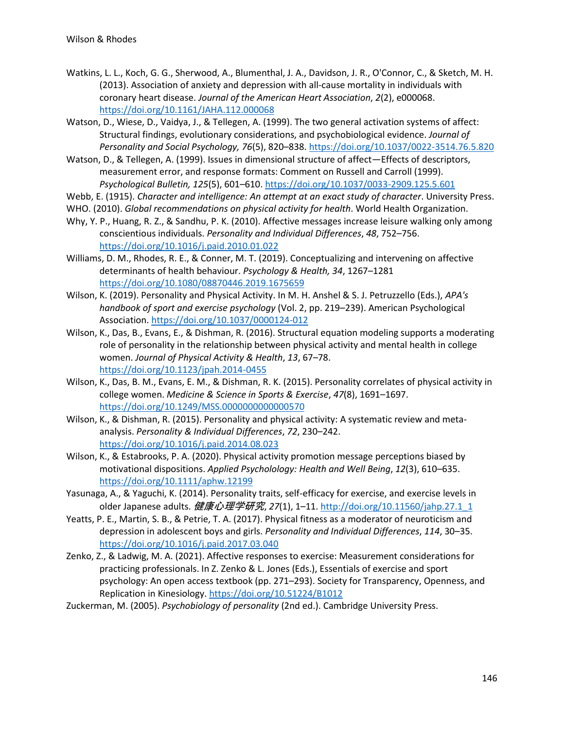- Watkins, L. L., Koch, G. G., Sherwood, A., Blumenthal, J. A., Davidson, J. R., O'Connor, C., & Sketch, M. H. (2013). Association of anxiety and depression with all-cause mortality in individuals with coronary heart disease. *Journal of the American Heart Association*, *2*(2), e000068. <https://doi.org/10.1161/JAHA.112.000068>
- Watson, D., Wiese, D., Vaidya, J., & Tellegen, A. (1999). The two general activation systems of affect: Structural findings, evolutionary considerations, and psychobiological evidence. *Journal of Personality and Social Psychology, 76*(5), 820–838. <https://doi.org/10.1037/0022-3514.76.5.820>
- Watson, D., & Tellegen, A. (1999). Issues in dimensional structure of affect—Effects of descriptors, measurement error, and response formats: Comment on Russell and Carroll (1999). *Psychological Bulletin, 125*(5), 601–610. <https://doi.org/10.1037/0033-2909.125.5.601>
- Webb, E. (1915). *Character and intelligence: An attempt at an exact study of character*. University Press.
- WHO. (2010). *Global recommendations on physical activity for health*. World Health Organization.
- Why, Y. P., Huang, R. Z., & Sandhu, P. K. (2010). Affective messages increase leisure walking only among conscientious individuals. *Personality and Individual Differences*, *48*, 752–756. <https://doi.org/10.1016/j.paid.2010.01.022>
- Williams, D. M., Rhodes, R. E., & Conner, M. T. (2019). Conceptualizing and intervening on affective determinants of health behaviour. *Psychology & Health, 34*, 1267–1281 <https://doi.org/10.1080/08870446.2019.1675659>
- Wilson, K. (2019). Personality and Physical Activity. In M. H. Anshel & S. J. Petruzzello (Eds.), *APA's handbook of sport and exercise psychology* (Vol. 2, pp. 219–239). American Psychological Association.<https://doi.org/10.1037/0000124-012>
- Wilson, K., Das, B., Evans, E., & Dishman, R. (2016). Structural equation modeling supports a moderating role of personality in the relationship between physical activity and mental health in college women. *Journal of Physical Activity & Health*, *13*, 67–78. <https://doi.org/10.1123/jpah.2014-0455>
- Wilson, K., Das, B. M., Evans, E. M., & Dishman, R. K. (2015). Personality correlates of physical activity in college women. *Medicine & Science in Sports & Exercise*, *47*(8), 1691–1697. <https://doi.org/10.1249/MSS.0000000000000570>
- Wilson, K., & Dishman, R. (2015). Personality and physical activity: A systematic review and metaanalysis. *Personality & Individual Differences*, *72*, 230–242. <https://doi.org/10.1016/j.paid.2014.08.023>
- Wilson, K., & Estabrooks, P. A. (2020). Physical activity promotion message perceptions biased by motivational dispositions. *Applied Psycholology: Health and Well Being*, *12*(3), 610–635. <https://doi.org/10.1111/aphw.12199>
- Yasunaga, A., & Yaguchi, K. (2014). Personality traits, self-efficacy for exercise, and exercise levels in older Japanese adults. *健康心理学研究*, 27(1), 1–11. [http://doi.org/10.11560/jahp.27.1\\_1](http://doi.org/10.11560/jahp.27.1_1)
- Yeatts, P. E., Martin, S. B., & Petrie, T. A. (2017). Physical fitness as a moderator of neuroticism and depression in adolescent boys and girls. *Personality and Individual Differences*, *114*, 30–35. <https://doi.org/10.1016/j.paid.2017.03.040>
- Zenko, Z., & Ladwig, M. A. (2021). Affective responses to exercise: Measurement considerations for practicing professionals. In Z. Zenko & L. Jones (Eds.), Essentials of exercise and sport psychology: An open access textbook (pp. 271–293). Society for Transparency, Openness, and Replication in Kinesiology.<https://doi.org/10.51224/B1012>
- Zuckerman, M. (2005). *Psychobiology of personality* (2nd ed.). Cambridge University Press.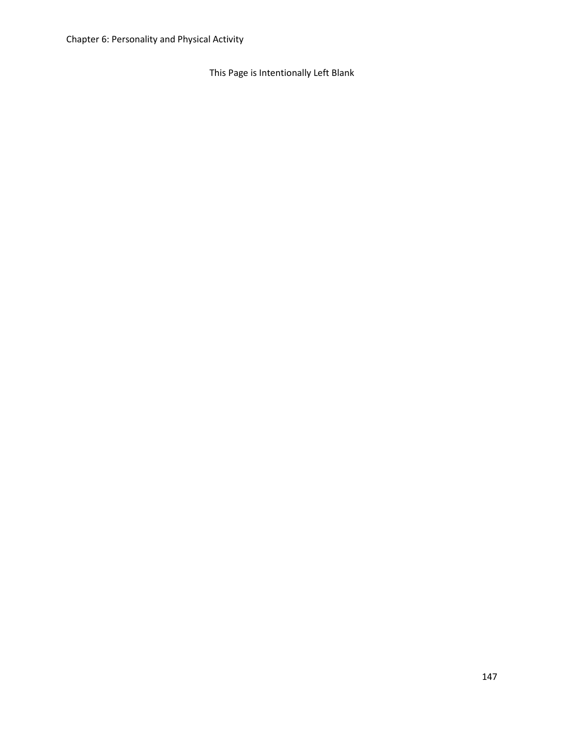This Page is Intentionally Left Blank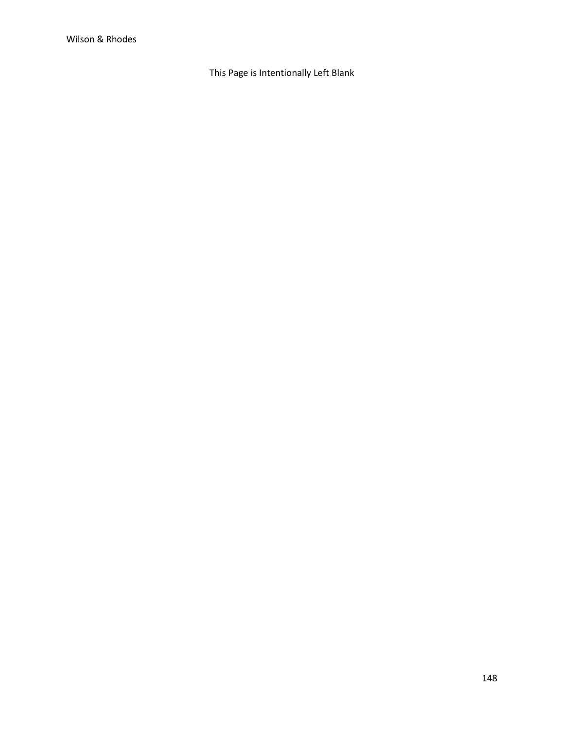This Page is Intentionally Left Blank